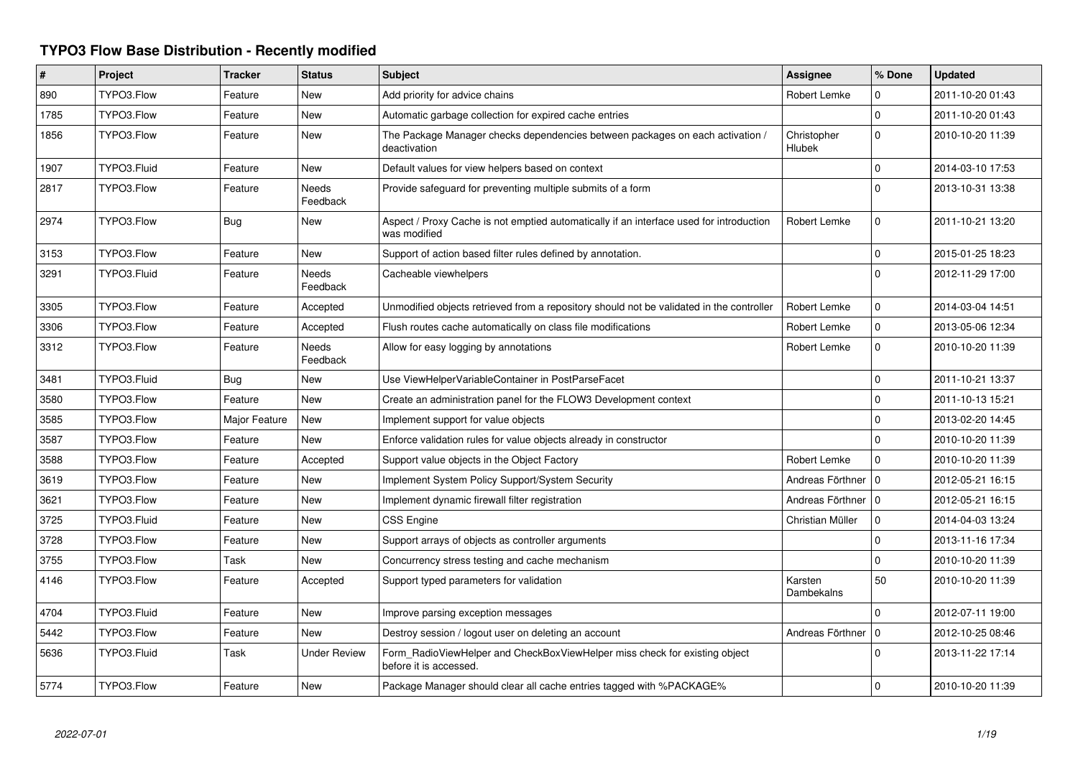## **TYPO3 Flow Base Distribution - Recently modified**

| #    | Project     | <b>Tracker</b> | <b>Status</b>       | <b>Subject</b>                                                                                          | Assignee              | % Done      | <b>Updated</b>   |
|------|-------------|----------------|---------------------|---------------------------------------------------------------------------------------------------------|-----------------------|-------------|------------------|
| 890  | TYPO3.Flow  | Feature        | New                 | Add priority for advice chains                                                                          | Robert Lemke          | 0           | 2011-10-20 01:43 |
| 1785 | TYPO3.Flow  | Feature        | New                 | Automatic garbage collection for expired cache entries                                                  |                       | $\Omega$    | 2011-10-20 01:43 |
| 1856 | TYPO3.Flow  | Feature        | New                 | The Package Manager checks dependencies between packages on each activation /<br>deactivation           | Christopher<br>Hlubek | $\mathbf 0$ | 2010-10-20 11:39 |
| 1907 | TYPO3.Fluid | Feature        | New                 | Default values for view helpers based on context                                                        |                       | $\mathbf 0$ | 2014-03-10 17:53 |
| 2817 | TYPO3.Flow  | Feature        | Needs<br>Feedback   | Provide safeguard for preventing multiple submits of a form                                             |                       | $\mathbf 0$ | 2013-10-31 13:38 |
| 2974 | TYPO3.Flow  | <b>Bug</b>     | New                 | Aspect / Proxy Cache is not emptied automatically if an interface used for introduction<br>was modified | Robert Lemke          | $\mathbf 0$ | 2011-10-21 13:20 |
| 3153 | TYPO3.Flow  | Feature        | New                 | Support of action based filter rules defined by annotation.                                             |                       | $\mathbf 0$ | 2015-01-25 18:23 |
| 3291 | TYPO3.Fluid | Feature        | Needs<br>Feedback   | Cacheable viewhelpers                                                                                   |                       | $\Omega$    | 2012-11-29 17:00 |
| 3305 | TYPO3.Flow  | Feature        | Accepted            | Unmodified objects retrieved from a repository should not be validated in the controller                | Robert Lemke          | $\mathbf 0$ | 2014-03-04 14:51 |
| 3306 | TYPO3.Flow  | Feature        | Accepted            | Flush routes cache automatically on class file modifications                                            | Robert Lemke          | $\mathbf 0$ | 2013-05-06 12:34 |
| 3312 | TYPO3.Flow  | Feature        | Needs<br>Feedback   | Allow for easy logging by annotations                                                                   | Robert Lemke          | $\mathbf 0$ | 2010-10-20 11:39 |
| 3481 | TYPO3.Fluid | <b>Bug</b>     | New                 | Use ViewHelperVariableContainer in PostParseFacet                                                       |                       | $\mathbf 0$ | 2011-10-21 13:37 |
| 3580 | TYPO3.Flow  | Feature        | New                 | Create an administration panel for the FLOW3 Development context                                        |                       | $\mathbf 0$ | 2011-10-13 15:21 |
| 3585 | TYPO3.Flow  | Major Feature  | New                 | Implement support for value objects                                                                     |                       | $\Omega$    | 2013-02-20 14:45 |
| 3587 | TYPO3.Flow  | Feature        | New                 | Enforce validation rules for value objects already in constructor                                       |                       | $\mathbf 0$ | 2010-10-20 11:39 |
| 3588 | TYPO3.Flow  | Feature        | Accepted            | Support value objects in the Object Factory                                                             | Robert Lemke          | $\mathbf 0$ | 2010-10-20 11:39 |
| 3619 | TYPO3.Flow  | Feature        | New                 | Implement System Policy Support/System Security                                                         | Andreas Förthner   0  |             | 2012-05-21 16:15 |
| 3621 | TYPO3.Flow  | Feature        | New                 | Implement dynamic firewall filter registration                                                          | Andreas Förthner   0  |             | 2012-05-21 16:15 |
| 3725 | TYPO3.Fluid | Feature        | New                 | <b>CSS Engine</b>                                                                                       | Christian Müller      | $\mathbf 0$ | 2014-04-03 13:24 |
| 3728 | TYPO3.Flow  | Feature        | New                 | Support arrays of objects as controller arguments                                                       |                       | $\mathbf 0$ | 2013-11-16 17:34 |
| 3755 | TYPO3.Flow  | Task           | New                 | Concurrency stress testing and cache mechanism                                                          |                       | $\Omega$    | 2010-10-20 11:39 |
| 4146 | TYPO3.Flow  | Feature        | Accepted            | Support typed parameters for validation                                                                 | Karsten<br>Dambekalns | 50          | 2010-10-20 11:39 |
| 4704 | TYPO3.Fluid | Feature        | New                 | Improve parsing exception messages                                                                      |                       | 0           | 2012-07-11 19:00 |
| 5442 | TYPO3.Flow  | Feature        | New                 | Destroy session / logout user on deleting an account                                                    | Andreas Förthner      | l O         | 2012-10-25 08:46 |
| 5636 | TYPO3.Fluid | Task           | <b>Under Review</b> | Form RadioViewHelper and CheckBoxViewHelper miss check for existing object<br>before it is accessed.    |                       | $\Omega$    | 2013-11-22 17:14 |
| 5774 | TYPO3.Flow  | Feature        | New                 | Package Manager should clear all cache entries tagged with %PACKAGE%                                    |                       | $\mathbf 0$ | 2010-10-20 11:39 |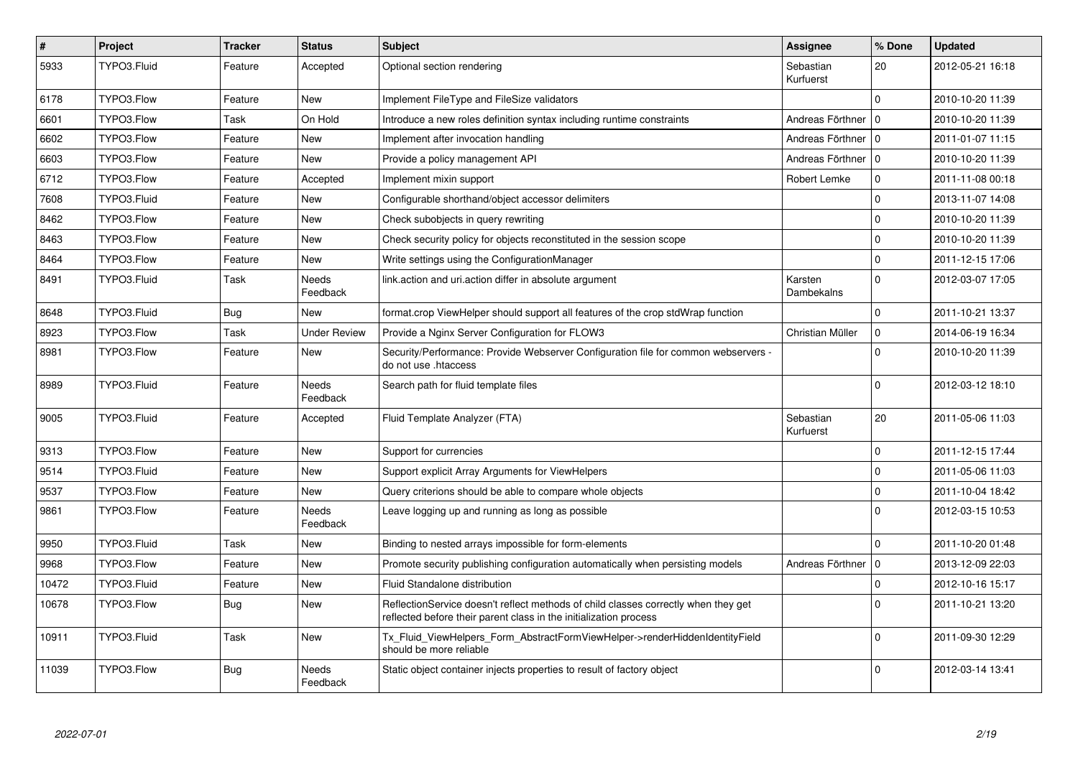| $\vert$ # | Project     | <b>Tracker</b> | <b>Status</b>       | Subject                                                                                                                                                 | <b>Assignee</b>        | % Done       | <b>Updated</b>   |
|-----------|-------------|----------------|---------------------|---------------------------------------------------------------------------------------------------------------------------------------------------------|------------------------|--------------|------------------|
| 5933      | TYPO3.Fluid | Feature        | Accepted            | Optional section rendering                                                                                                                              | Sebastian<br>Kurfuerst | 20           | 2012-05-21 16:18 |
| 6178      | TYPO3.Flow  | Feature        | New                 | Implement FileType and FileSize validators                                                                                                              |                        | $\Omega$     | 2010-10-20 11:39 |
| 6601      | TYPO3.Flow  | Task           | On Hold             | Introduce a new roles definition syntax including runtime constraints                                                                                   | Andreas Förthner   0   |              | 2010-10-20 11:39 |
| 6602      | TYPO3.Flow  | Feature        | New                 | Implement after invocation handling                                                                                                                     | Andreas Förthner       | l O          | 2011-01-07 11:15 |
| 6603      | TYPO3.Flow  | Feature        | New                 | Provide a policy management API                                                                                                                         | Andreas Förthner   0   |              | 2010-10-20 11:39 |
| 6712      | TYPO3.Flow  | Feature        | Accepted            | Implement mixin support                                                                                                                                 | Robert Lemke           | $\mathbf{0}$ | 2011-11-08 00:18 |
| 7608      | TYPO3.Fluid | Feature        | New                 | Configurable shorthand/object accessor delimiters                                                                                                       |                        | $\mathbf 0$  | 2013-11-07 14:08 |
| 8462      | TYPO3.Flow  | Feature        | New                 | Check subobjects in query rewriting                                                                                                                     |                        | $\mathbf{0}$ | 2010-10-20 11:39 |
| 8463      | TYPO3.Flow  | Feature        | New                 | Check security policy for objects reconstituted in the session scope                                                                                    |                        | $\mathbf 0$  | 2010-10-20 11:39 |
| 8464      | TYPO3.Flow  | Feature        | New                 | Write settings using the ConfigurationManager                                                                                                           |                        | $\mathbf 0$  | 2011-12-15 17:06 |
| 8491      | TYPO3.Fluid | Task           | Needs<br>Feedback   | link action and uri action differ in absolute argument                                                                                                  | Karsten<br>Dambekalns  | $\mathbf{0}$ | 2012-03-07 17:05 |
| 8648      | TYPO3.Fluid | <b>Bug</b>     | New                 | format.crop ViewHelper should support all features of the crop stdWrap function                                                                         |                        | $\mathbf{0}$ | 2011-10-21 13:37 |
| 8923      | TYPO3.Flow  | Task           | <b>Under Review</b> | Provide a Nginx Server Configuration for FLOW3                                                                                                          | Christian Müller       | $\mathbf 0$  | 2014-06-19 16:34 |
| 8981      | TYPO3.Flow  | Feature        | New                 | Security/Performance: Provide Webserver Configuration file for common webservers -<br>do not use .htaccess                                              |                        | $\Omega$     | 2010-10-20 11:39 |
| 8989      | TYPO3.Fluid | Feature        | Needs<br>Feedback   | Search path for fluid template files                                                                                                                    |                        | $\Omega$     | 2012-03-12 18:10 |
| 9005      | TYPO3.Fluid | Feature        | Accepted            | Fluid Template Analyzer (FTA)                                                                                                                           | Sebastian<br>Kurfuerst | 20           | 2011-05-06 11:03 |
| 9313      | TYPO3.Flow  | Feature        | New                 | Support for currencies                                                                                                                                  |                        | $\mathbf 0$  | 2011-12-15 17:44 |
| 9514      | TYPO3.Fluid | Feature        | New                 | Support explicit Array Arguments for ViewHelpers                                                                                                        |                        | $\mathbf 0$  | 2011-05-06 11:03 |
| 9537      | TYPO3.Flow  | Feature        | New                 | Query criterions should be able to compare whole objects                                                                                                |                        | $\mathbf 0$  | 2011-10-04 18:42 |
| 9861      | TYPO3.Flow  | Feature        | Needs<br>Feedback   | Leave logging up and running as long as possible                                                                                                        |                        | $\mathbf 0$  | 2012-03-15 10:53 |
| 9950      | TYPO3.Fluid | Task           | New                 | Binding to nested arrays impossible for form-elements                                                                                                   |                        | $\Omega$     | 2011-10-20 01:48 |
| 9968      | TYPO3.Flow  | Feature        | New                 | Promote security publishing configuration automatically when persisting models                                                                          | Andreas Förthner       | l O          | 2013-12-09 22:03 |
| 10472     | TYPO3.Fluid | Feature        | New                 | Fluid Standalone distribution                                                                                                                           |                        | $\mathbf 0$  | 2012-10-16 15:17 |
| 10678     | TYPO3.Flow  | Bug            | New                 | ReflectionService doesn't reflect methods of child classes correctly when they get<br>reflected before their parent class in the initialization process |                        | $\mathbf{0}$ | 2011-10-21 13:20 |
| 10911     | TYPO3.Fluid | Task           | New                 | Tx Fluid ViewHelpers Form AbstractFormViewHelper->renderHiddenIdentityField<br>should be more reliable                                                  |                        | $\Omega$     | 2011-09-30 12:29 |
| 11039     | TYPO3.Flow  | <b>Bug</b>     | Needs<br>Feedback   | Static object container injects properties to result of factory object                                                                                  |                        | $\Omega$     | 2012-03-14 13:41 |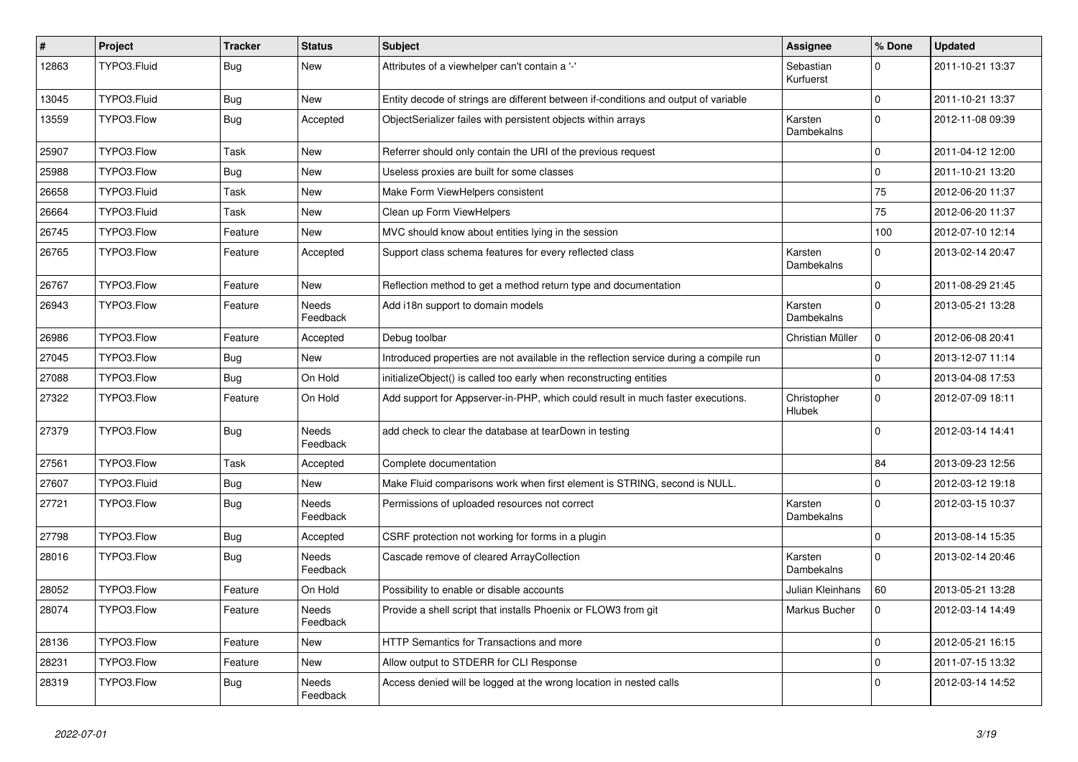| $\vert$ # | Project     | <b>Tracker</b> | <b>Status</b>     | <b>Subject</b>                                                                         | <b>Assignee</b>              | % Done       | <b>Updated</b>   |
|-----------|-------------|----------------|-------------------|----------------------------------------------------------------------------------------|------------------------------|--------------|------------------|
| 12863     | TYPO3.Fluid | <b>Bug</b>     | <b>New</b>        | Attributes of a viewhelper can't contain a '-'                                         | Sebastian<br>Kurfuerst       | 0            | 2011-10-21 13:37 |
| 13045     | TYPO3.Fluid | <b>Bug</b>     | New               | Entity decode of strings are different between if-conditions and output of variable    |                              | $\Omega$     | 2011-10-21 13:37 |
| 13559     | TYPO3.Flow  | <b>Bug</b>     | Accepted          | ObjectSerializer failes with persistent objects within arrays                          | Karsten<br><b>Dambekalns</b> | $\mathbf{0}$ | 2012-11-08 09:39 |
| 25907     | TYPO3.Flow  | Task           | <b>New</b>        | Referrer should only contain the URI of the previous request                           |                              | $\Omega$     | 2011-04-12 12:00 |
| 25988     | TYPO3.Flow  | Bug            | New               | Useless proxies are built for some classes                                             |                              | $\mathbf{0}$ | 2011-10-21 13:20 |
| 26658     | TYPO3.Fluid | Task           | New               | Make Form ViewHelpers consistent                                                       |                              | 75           | 2012-06-20 11:37 |
| 26664     | TYPO3.Fluid | Task           | New               | Clean up Form ViewHelpers                                                              |                              | 75           | 2012-06-20 11:37 |
| 26745     | TYPO3.Flow  | Feature        | New               | MVC should know about entities lying in the session                                    |                              | 100          | 2012-07-10 12:14 |
| 26765     | TYPO3.Flow  | Feature        | Accepted          | Support class schema features for every reflected class                                | Karsten<br>Dambekalns        | $\mathbf 0$  | 2013-02-14 20:47 |
| 26767     | TYPO3.Flow  | Feature        | New               | Reflection method to get a method return type and documentation                        |                              | $\Omega$     | 2011-08-29 21:45 |
| 26943     | TYPO3.Flow  | Feature        | Needs<br>Feedback | Add i18n support to domain models                                                      | Karsten<br>Dambekalns        | $\mathbf{0}$ | 2013-05-21 13:28 |
| 26986     | TYPO3.Flow  | Feature        | Accepted          | Debug toolbar                                                                          | Christian Müller             | $\mathbf{0}$ | 2012-06-08 20:41 |
| 27045     | TYPO3.Flow  | <b>Bug</b>     | New               | Introduced properties are not available in the reflection service during a compile run |                              | $\mathbf{0}$ | 2013-12-07 11:14 |
| 27088     | TYPO3.Flow  | <b>Bug</b>     | On Hold           | initializeObject() is called too early when reconstructing entities                    |                              | $\mathbf{0}$ | 2013-04-08 17:53 |
| 27322     | TYPO3.Flow  | Feature        | On Hold           | Add support for Appserver-in-PHP, which could result in much faster executions.        | Christopher<br>Hlubek        | $\mathbf 0$  | 2012-07-09 18:11 |
| 27379     | TYPO3.Flow  | Bug            | Needs<br>Feedback | add check to clear the database at tearDown in testing                                 |                              | $\Omega$     | 2012-03-14 14:41 |
| 27561     | TYPO3.Flow  | Task           | Accepted          | Complete documentation                                                                 |                              | 84           | 2013-09-23 12:56 |
| 27607     | TYPO3.Fluid | <b>Bug</b>     | New               | Make Fluid comparisons work when first element is STRING, second is NULL.              |                              | $\mathbf{0}$ | 2012-03-12 19:18 |
| 27721     | TYPO3.Flow  | <b>Bug</b>     | Needs<br>Feedback | Permissions of uploaded resources not correct                                          | Karsten<br>Dambekalns        | $\mathbf{0}$ | 2012-03-15 10:37 |
| 27798     | TYPO3.Flow  | <b>Bug</b>     | Accepted          | CSRF protection not working for forms in a plugin                                      |                              | $\Omega$     | 2013-08-14 15:35 |
| 28016     | TYPO3.Flow  | <b>Bug</b>     | Needs<br>Feedback | Cascade remove of cleared ArrayCollection                                              | Karsten<br>Dambekalns        | $\Omega$     | 2013-02-14 20:46 |
| 28052     | TYPO3.Flow  | Feature        | On Hold           | Possibility to enable or disable accounts                                              | Julian Kleinhans             | 60           | 2013-05-21 13:28 |
| 28074     | TYPO3.Flow  | Feature        | Needs<br>Feedback | Provide a shell script that installs Phoenix or FLOW3 from git                         | Markus Bucher                | $\mathbf 0$  | 2012-03-14 14:49 |
| 28136     | TYPO3.Flow  | Feature        | <b>New</b>        | <b>HTTP Semantics for Transactions and more</b>                                        |                              | $\mathbf{0}$ | 2012-05-21 16:15 |
| 28231     | TYPO3.Flow  | Feature        | New               | Allow output to STDERR for CLI Response                                                |                              | $\mathbf 0$  | 2011-07-15 13:32 |
| 28319     | TYPO3.Flow  | <b>Bug</b>     | Needs<br>Feedback | Access denied will be logged at the wrong location in nested calls                     |                              | $\Omega$     | 2012-03-14 14:52 |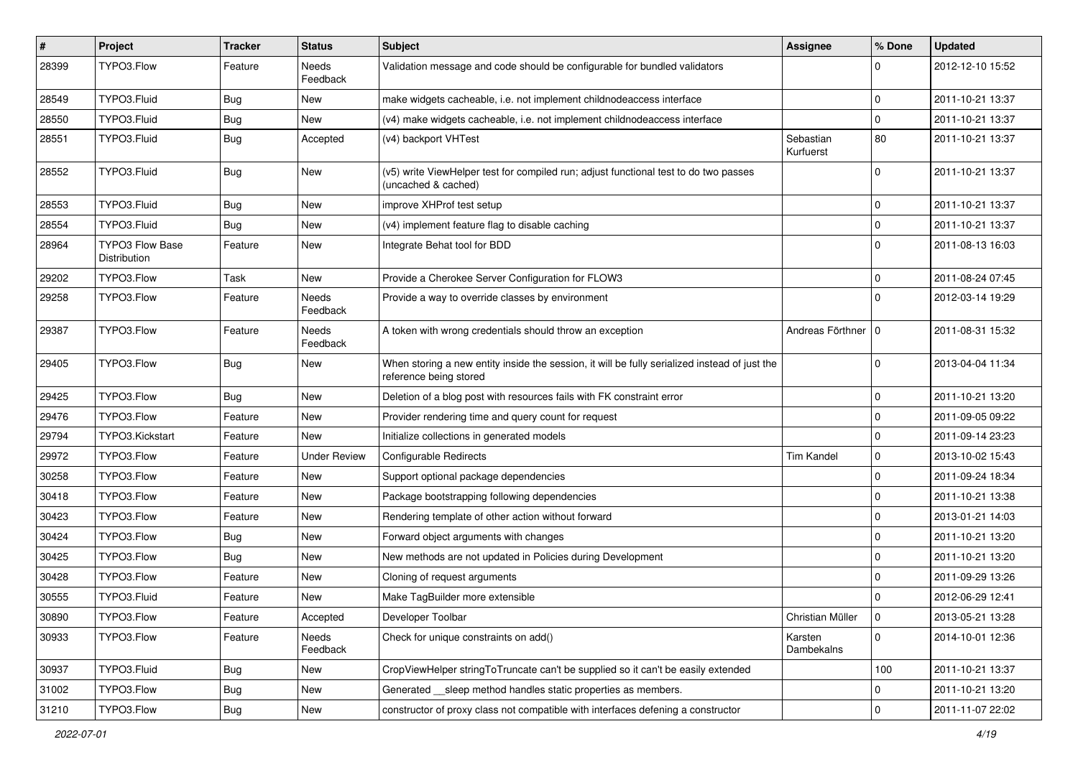| $\vert$ # | Project                                | <b>Tracker</b> | <b>Status</b>            | Subject                                                                                                                 | <b>Assignee</b>        | % Done      | <b>Updated</b>   |
|-----------|----------------------------------------|----------------|--------------------------|-------------------------------------------------------------------------------------------------------------------------|------------------------|-------------|------------------|
| 28399     | TYPO3.Flow                             | Feature        | <b>Needs</b><br>Feedback | Validation message and code should be configurable for bundled validators                                               |                        | 0           | 2012-12-10 15:52 |
| 28549     | TYPO3.Fluid                            | <b>Bug</b>     | New                      | make widgets cacheable, i.e. not implement childnodeaccess interface                                                    |                        | 0           | 2011-10-21 13:37 |
| 28550     | TYPO3.Fluid                            | <b>Bug</b>     | New                      | (v4) make widgets cacheable, i.e. not implement childnodeaccess interface                                               |                        | $\mathbf 0$ | 2011-10-21 13:37 |
| 28551     | TYPO3.Fluid                            | <b>Bug</b>     | Accepted                 | (v4) backport VHTest                                                                                                    | Sebastian<br>Kurfuerst | 80          | 2011-10-21 13:37 |
| 28552     | TYPO3.Fluid                            | <b>Bug</b>     | New                      | (v5) write ViewHelper test for compiled run; adjust functional test to do two passes<br>(uncached & cached)             |                        | $\Omega$    | 2011-10-21 13:37 |
| 28553     | TYPO3.Fluid                            | <b>Bug</b>     | New                      | improve XHProf test setup                                                                                               |                        | 0           | 2011-10-21 13:37 |
| 28554     | TYPO3.Fluid                            | <b>Bug</b>     | New                      | (v4) implement feature flag to disable caching                                                                          |                        | $\mathbf 0$ | 2011-10-21 13:37 |
| 28964     | <b>TYPO3 Flow Base</b><br>Distribution | Feature        | New                      | Integrate Behat tool for BDD                                                                                            |                        | $\Omega$    | 2011-08-13 16:03 |
| 29202     | TYPO3.Flow                             | Task           | New                      | Provide a Cherokee Server Configuration for FLOW3                                                                       |                        | 0           | 2011-08-24 07:45 |
| 29258     | TYPO3.Flow                             | Feature        | Needs<br>Feedback        | Provide a way to override classes by environment                                                                        |                        | 0           | 2012-03-14 19:29 |
| 29387     | TYPO3.Flow                             | Feature        | <b>Needs</b><br>Feedback | A token with wrong credentials should throw an exception                                                                | Andreas Förthner   0   |             | 2011-08-31 15:32 |
| 29405     | TYPO3.Flow                             | <b>Bug</b>     | New                      | When storing a new entity inside the session, it will be fully serialized instead of just the<br>reference being stored |                        | $\Omega$    | 2013-04-04 11:34 |
| 29425     | TYPO3.Flow                             | <b>Bug</b>     | New                      | Deletion of a blog post with resources fails with FK constraint error                                                   |                        | $\Omega$    | 2011-10-21 13:20 |
| 29476     | TYPO3.Flow                             | Feature        | New                      | Provider rendering time and query count for request                                                                     |                        | $\mathbf 0$ | 2011-09-05 09:22 |
| 29794     | TYPO3.Kickstart                        | Feature        | New                      | Initialize collections in generated models                                                                              |                        | $\mathbf 0$ | 2011-09-14 23:23 |
| 29972     | TYPO3.Flow                             | Feature        | <b>Under Review</b>      | <b>Configurable Redirects</b>                                                                                           | Tim Kandel             | 0           | 2013-10-02 15:43 |
| 30258     | TYPO3.Flow                             | Feature        | New                      | Support optional package dependencies                                                                                   |                        | $\mathbf 0$ | 2011-09-24 18:34 |
| 30418     | TYPO3.Flow                             | Feature        | New                      | Package bootstrapping following dependencies                                                                            |                        | $\mathbf 0$ | 2011-10-21 13:38 |
| 30423     | TYPO3.Flow                             | Feature        | New                      | Rendering template of other action without forward                                                                      |                        | $\mathbf 0$ | 2013-01-21 14:03 |
| 30424     | TYPO3.Flow                             | <b>Bug</b>     | New                      | Forward object arguments with changes                                                                                   |                        | $\mathbf 0$ | 2011-10-21 13:20 |
| 30425     | TYPO3.Flow                             | <b>Bug</b>     | New                      | New methods are not updated in Policies during Development                                                              |                        | 0           | 2011-10-21 13:20 |
| 30428     | TYPO3.Flow                             | Feature        | New                      | Cloning of request arguments                                                                                            |                        | $\mathbf 0$ | 2011-09-29 13:26 |
| 30555     | TYPO3.Fluid                            | Feature        | New                      | Make TagBuilder more extensible                                                                                         |                        | $\mathbf 0$ | 2012-06-29 12:41 |
| 30890     | TYPO3.Flow                             | Feature        | Accepted                 | Developer Toolbar                                                                                                       | Christian Müller       | 0           | 2013-05-21 13:28 |
| 30933     | TYPO3.Flow                             | Feature        | Needs<br>Feedback        | Check for unique constraints on add()                                                                                   | Karsten<br>Dambekalns  | $\mathbf 0$ | 2014-10-01 12:36 |
| 30937     | TYPO3.Fluid                            | <b>Bug</b>     | New                      | CropViewHelper stringToTruncate can't be supplied so it can't be easily extended                                        |                        | 100         | 2011-10-21 13:37 |
| 31002     | TYPO3.Flow                             | <b>Bug</b>     | New                      | Generated __ sleep method handles static properties as members.                                                         |                        | 0           | 2011-10-21 13:20 |
| 31210     | TYPO3.Flow                             | Bug            | New                      | constructor of proxy class not compatible with interfaces defening a constructor                                        |                        | $\pmb{0}$   | 2011-11-07 22:02 |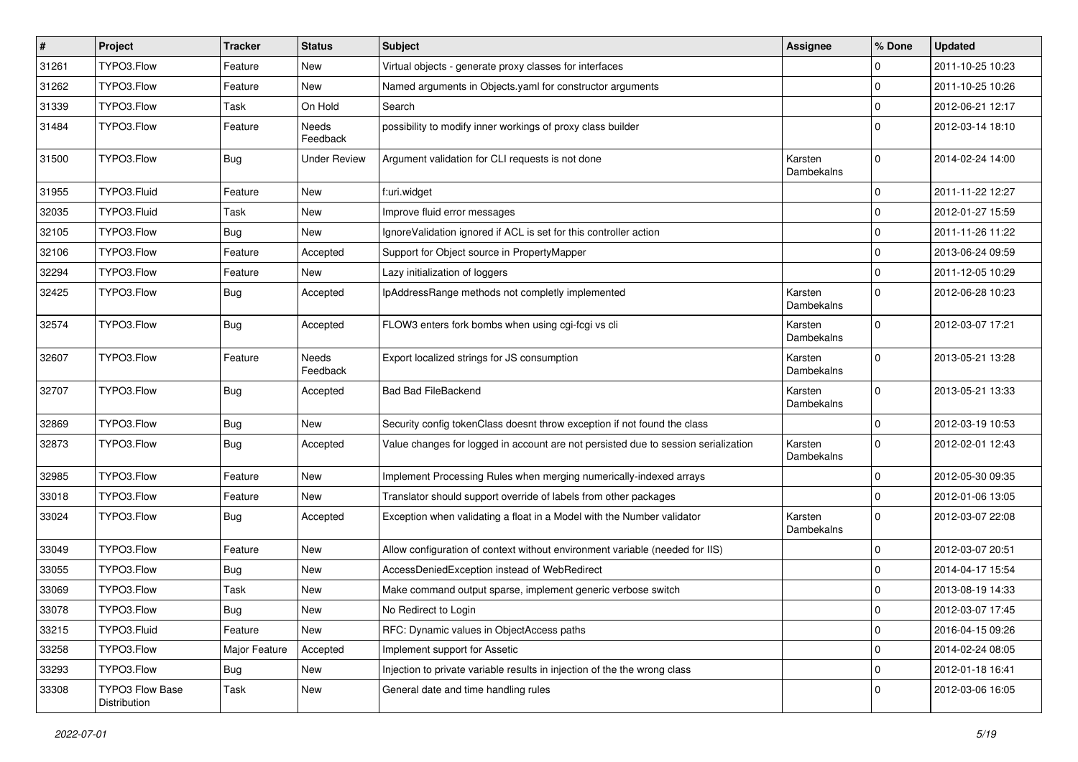| #     | Project                         | <b>Tracker</b> | <b>Status</b>     | Subject                                                                            | Assignee              | % Done       | <b>Updated</b>   |
|-------|---------------------------------|----------------|-------------------|------------------------------------------------------------------------------------|-----------------------|--------------|------------------|
| 31261 | TYPO3.Flow                      | Feature        | New               | Virtual objects - generate proxy classes for interfaces                            |                       | $\Omega$     | 2011-10-25 10:23 |
| 31262 | TYPO3.Flow                      | Feature        | New               | Named arguments in Objects.yaml for constructor arguments                          |                       | 0            | 2011-10-25 10:26 |
| 31339 | TYPO3.Flow                      | Task           | On Hold           | Search                                                                             |                       | $\mathbf 0$  | 2012-06-21 12:17 |
| 31484 | TYPO3.Flow                      | Feature        | Needs<br>Feedback | possibility to modify inner workings of proxy class builder                        |                       | $\Omega$     | 2012-03-14 18:10 |
| 31500 | TYPO3.Flow                      | Bug            | Under Review      | Argument validation for CLI requests is not done                                   | Karsten<br>Dambekalns | $\mathbf 0$  | 2014-02-24 14:00 |
| 31955 | TYPO3.Fluid                     | Feature        | New               | f:uri.widget                                                                       |                       | 0            | 2011-11-22 12:27 |
| 32035 | TYPO3.Fluid                     | Task           | New               | Improve fluid error messages                                                       |                       | $\Omega$     | 2012-01-27 15:59 |
| 32105 | TYPO3.Flow                      | <b>Bug</b>     | New               | IgnoreValidation ignored if ACL is set for this controller action                  |                       | 0            | 2011-11-26 11:22 |
| 32106 | TYPO3.Flow                      | Feature        | Accepted          | Support for Object source in PropertyMapper                                        |                       | $\mathbf 0$  | 2013-06-24 09:59 |
| 32294 | TYPO3.Flow                      | Feature        | New               | Lazy initialization of loggers                                                     |                       | $\mathbf{0}$ | 2011-12-05 10:29 |
| 32425 | TYPO3.Flow                      | Bug            | Accepted          | IpAddressRange methods not completly implemented                                   | Karsten<br>Dambekalns | $\Omega$     | 2012-06-28 10:23 |
| 32574 | TYPO3.Flow                      | <b>Bug</b>     | Accepted          | FLOW3 enters fork bombs when using cgi-fcgi vs cli                                 | Karsten<br>Dambekalns | $\Omega$     | 2012-03-07 17:21 |
| 32607 | TYPO3.Flow                      | Feature        | Needs<br>Feedback | Export localized strings for JS consumption                                        | Karsten<br>Dambekalns | $\Omega$     | 2013-05-21 13:28 |
| 32707 | TYPO3.Flow                      | Bug            | Accepted          | <b>Bad Bad FileBackend</b>                                                         | Karsten<br>Dambekalns | $\Omega$     | 2013-05-21 13:33 |
| 32869 | TYPO3.Flow                      | Bug            | New               | Security config tokenClass doesnt throw exception if not found the class           |                       | $\mathbf 0$  | 2012-03-19 10:53 |
| 32873 | TYPO3.Flow                      | <b>Bug</b>     | Accepted          | Value changes for logged in account are not persisted due to session serialization | Karsten<br>Dambekalns | $\Omega$     | 2012-02-01 12:43 |
| 32985 | TYPO3.Flow                      | Feature        | New               | Implement Processing Rules when merging numerically-indexed arrays                 |                       | $\Omega$     | 2012-05-30 09:35 |
| 33018 | TYPO3.Flow                      | Feature        | New               | Translator should support override of labels from other packages                   |                       | $\Omega$     | 2012-01-06 13:05 |
| 33024 | TYPO3.Flow                      | <b>Bug</b>     | Accepted          | Exception when validating a float in a Model with the Number validator             | Karsten<br>Dambekalns | $\Omega$     | 2012-03-07 22:08 |
| 33049 | TYPO3.Flow                      | Feature        | New               | Allow configuration of context without environment variable (needed for IIS)       |                       | 0            | 2012-03-07 20:51 |
| 33055 | TYPO3.Flow                      | Bug            | New               | AccessDeniedException instead of WebRedirect                                       |                       | 0            | 2014-04-17 15:54 |
| 33069 | TYPO3.Flow                      | Task           | New               | Make command output sparse, implement generic verbose switch                       |                       | $\mathbf 0$  | 2013-08-19 14:33 |
| 33078 | TYPO3.Flow                      | <b>Bug</b>     | New               | No Redirect to Login                                                               |                       | 0            | 2012-03-07 17:45 |
| 33215 | TYPO3.Fluid                     | Feature        | New               | RFC: Dynamic values in ObjectAccess paths                                          |                       | $\mathbf 0$  | 2016-04-15 09:26 |
| 33258 | TYPO3.Flow                      | Major Feature  | Accepted          | Implement support for Assetic                                                      |                       | $\mathbf 0$  | 2014-02-24 08:05 |
| 33293 | TYPO3.Flow                      | <b>Bug</b>     | New               | Injection to private variable results in injection of the the wrong class          |                       | $\mathbf 0$  | 2012-01-18 16:41 |
| 33308 | TYPO3 Flow Base<br>Distribution | Task           | New               | General date and time handling rules                                               |                       | 0            | 2012-03-06 16:05 |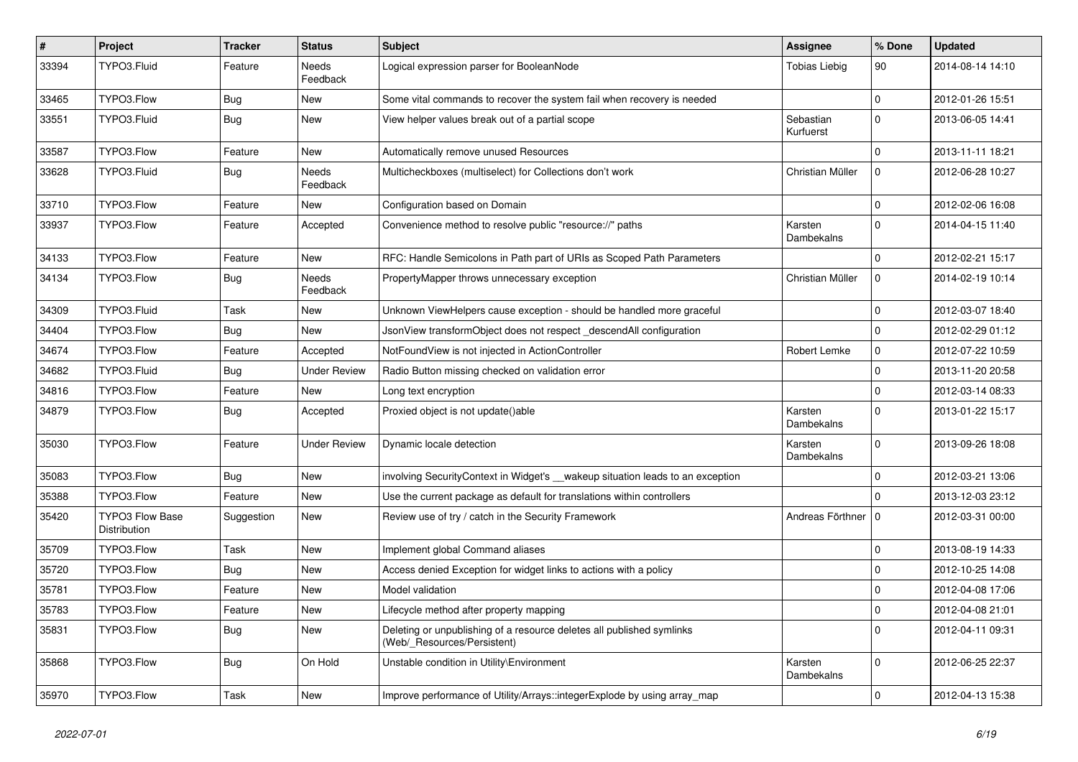| $\sharp$ | Project                                | <b>Tracker</b> | <b>Status</b>     | Subject                                                                                              | Assignee               | % Done              | <b>Updated</b>   |
|----------|----------------------------------------|----------------|-------------------|------------------------------------------------------------------------------------------------------|------------------------|---------------------|------------------|
| 33394    | TYPO3.Fluid                            | Feature        | Needs<br>Feedback | Logical expression parser for BooleanNode                                                            | <b>Tobias Liebig</b>   | 90                  | 2014-08-14 14:10 |
| 33465    | TYPO3.Flow                             | <b>Bug</b>     | New               | Some vital commands to recover the system fail when recovery is needed                               |                        | $\mathbf 0$         | 2012-01-26 15:51 |
| 33551    | TYPO3.Fluid                            | <b>Bug</b>     | New               | View helper values break out of a partial scope                                                      | Sebastian<br>Kurfuerst | $\Omega$            | 2013-06-05 14:41 |
| 33587    | TYPO3.Flow                             | Feature        | New               | Automatically remove unused Resources                                                                |                        | $\Omega$            | 2013-11-11 18:21 |
| 33628    | TYPO3.Fluid                            | <b>Bug</b>     | Needs<br>Feedback | Multicheckboxes (multiselect) for Collections don't work                                             | Christian Müller       | $\Omega$            | 2012-06-28 10:27 |
| 33710    | TYPO3.Flow                             | Feature        | New               | Configuration based on Domain                                                                        |                        | $\Omega$            | 2012-02-06 16:08 |
| 33937    | TYPO3.Flow                             | Feature        | Accepted          | Convenience method to resolve public "resource://" paths                                             | Karsten<br>Dambekalns  | $\Omega$            | 2014-04-15 11:40 |
| 34133    | TYPO3.Flow                             | Feature        | New               | RFC: Handle Semicolons in Path part of URIs as Scoped Path Parameters                                |                        | 0                   | 2012-02-21 15:17 |
| 34134    | TYPO3.Flow                             | <b>Bug</b>     | Needs<br>Feedback | PropertyMapper throws unnecessary exception                                                          | Christian Müller       | $\mathbf 0$         | 2014-02-19 10:14 |
| 34309    | TYPO3.Fluid                            | Task           | New               | Unknown ViewHelpers cause exception - should be handled more graceful                                |                        | $\Omega$            | 2012-03-07 18:40 |
| 34404    | TYPO3.Flow                             | Bug            | New               | JsonView transformObject does not respect _descendAll configuration                                  |                        | $\Omega$            | 2012-02-29 01:12 |
| 34674    | TYPO3.Flow                             | Feature        | Accepted          | NotFoundView is not injected in ActionController                                                     | Robert Lemke           | $\mathbf 0$         | 2012-07-22 10:59 |
| 34682    | TYPO3.Fluid                            | <b>Bug</b>     | Under Review      | Radio Button missing checked on validation error                                                     |                        | $\Omega$            | 2013-11-20 20:58 |
| 34816    | TYPO3.Flow                             | Feature        | New               | Long text encryption                                                                                 |                        | $\Omega$            | 2012-03-14 08:33 |
| 34879    | TYPO3.Flow                             | <b>Bug</b>     | Accepted          | Proxied object is not update()able                                                                   | Karsten<br>Dambekalns  | $\Omega$            | 2013-01-22 15:17 |
| 35030    | TYPO3.Flow                             | Feature        | Under Review      | Dynamic locale detection                                                                             | Karsten<br>Dambekalns  | $\Omega$            | 2013-09-26 18:08 |
| 35083    | TYPO3.Flow                             | Bug            | New               | involving SecurityContext in Widget's __wakeup situation leads to an exception                       |                        | $\Omega$            | 2012-03-21 13:06 |
| 35388    | TYPO3.Flow                             | Feature        | New               | Use the current package as default for translations within controllers                               |                        | $\Omega$            | 2013-12-03 23:12 |
| 35420    | <b>TYPO3 Flow Base</b><br>Distribution | Suggestion     | New               | Review use of try / catch in the Security Framework                                                  | Andreas Förthner   0   |                     | 2012-03-31 00:00 |
| 35709    | TYPO3.Flow                             | Task           | New               | Implement global Command aliases                                                                     |                        | 0                   | 2013-08-19 14:33 |
| 35720    | TYPO3.Flow                             | Bug            | New               | Access denied Exception for widget links to actions with a policy                                    |                        | 0                   | 2012-10-25 14:08 |
| 35781    | TYPO3.Flow                             | Feature        | New               | Model validation                                                                                     |                        | $\mathbf 0$         | 2012-04-08 17:06 |
| 35783    | TYPO3.Flow                             | Feature        | New               | Lifecycle method after property mapping                                                              |                        | 0                   | 2012-04-08 21:01 |
| 35831    | TYPO3.Flow                             | Bug            | New               | Deleting or unpublishing of a resource deletes all published symlinks<br>(Web/_Resources/Persistent) |                        | $\mathbf{0}$        | 2012-04-11 09:31 |
| 35868    | TYPO3.Flow                             | <b>Bug</b>     | On Hold           | Unstable condition in Utility\Environment                                                            | Karsten<br>Dambekalns  | $\mathbf 0$         | 2012-06-25 22:37 |
| 35970    | TYPO3.Flow                             | Task           | New               | Improve performance of Utility/Arrays::integerExplode by using array_map                             |                        | $\mathsf{O}\xspace$ | 2012-04-13 15:38 |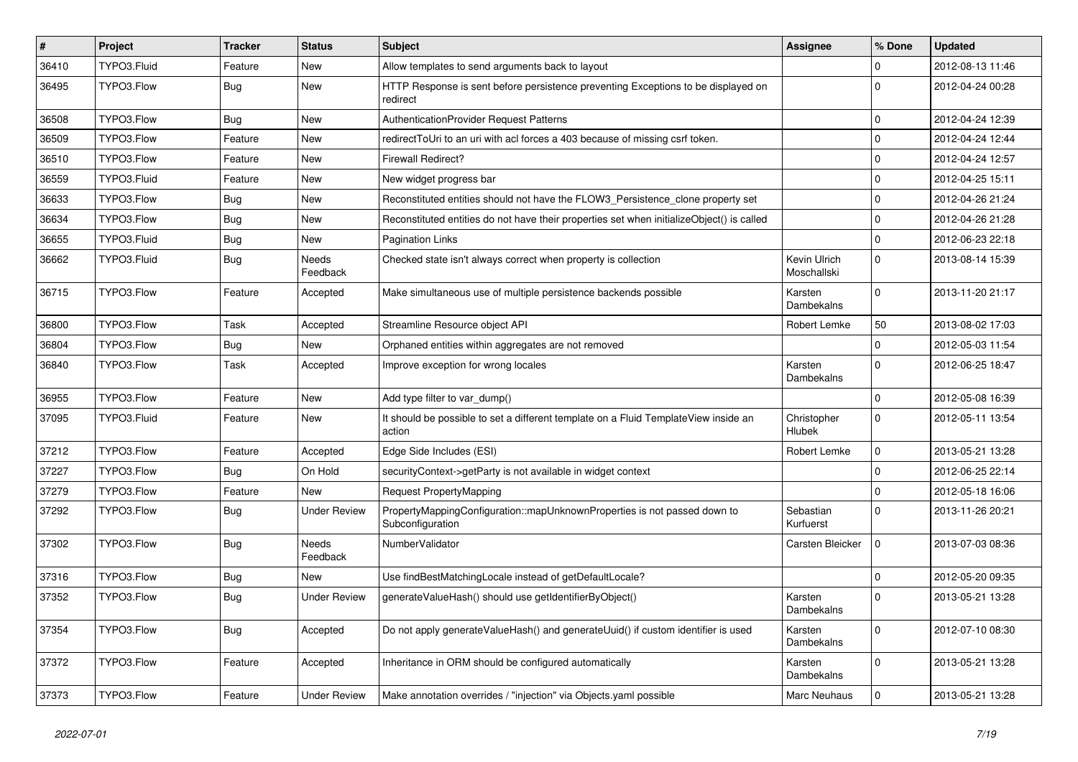| #     | Project     | <b>Tracker</b> | <b>Status</b>       | Subject                                                                                       | <b>Assignee</b>              | % Done       | <b>Updated</b>   |
|-------|-------------|----------------|---------------------|-----------------------------------------------------------------------------------------------|------------------------------|--------------|------------------|
| 36410 | TYPO3.Fluid | Feature        | New                 | Allow templates to send arguments back to layout                                              |                              | 0            | 2012-08-13 11:46 |
| 36495 | TYPO3.Flow  | <b>Bug</b>     | New                 | HTTP Response is sent before persistence preventing Exceptions to be displayed on<br>redirect |                              | 0            | 2012-04-24 00:28 |
| 36508 | TYPO3.Flow  | <b>Bug</b>     | New                 | AuthenticationProvider Request Patterns                                                       |                              | 0            | 2012-04-24 12:39 |
| 36509 | TYPO3.Flow  | Feature        | New                 | redirectToUri to an uri with acl forces a 403 because of missing csrf token.                  |                              | $\mathbf 0$  | 2012-04-24 12:44 |
| 36510 | TYPO3.Flow  | Feature        | New                 | <b>Firewall Redirect?</b>                                                                     |                              | 0            | 2012-04-24 12:57 |
| 36559 | TYPO3.Fluid | Feature        | New                 | New widget progress bar                                                                       |                              | $\mathbf 0$  | 2012-04-25 15:11 |
| 36633 | TYPO3.Flow  | <b>Bug</b>     | New                 | Reconstituted entities should not have the FLOW3 Persistence clone property set               |                              | 0            | 2012-04-26 21:24 |
| 36634 | TYPO3.Flow  | <b>Bug</b>     | New                 | Reconstituted entities do not have their properties set when initializeObject() is called     |                              | 0            | 2012-04-26 21:28 |
| 36655 | TYPO3.Fluid | <b>Bug</b>     | New                 | <b>Pagination Links</b>                                                                       |                              | $\mathbf 0$  | 2012-06-23 22:18 |
| 36662 | TYPO3.Fluid | <b>Bug</b>     | Needs<br>Feedback   | Checked state isn't always correct when property is collection                                | Kevin Ulrich<br>Moschallski  | $\mathbf 0$  | 2013-08-14 15:39 |
| 36715 | TYPO3.Flow  | Feature        | Accepted            | Make simultaneous use of multiple persistence backends possible                               | Karsten<br>Dambekalns        | $\Omega$     | 2013-11-20 21:17 |
| 36800 | TYPO3.Flow  | Task           | Accepted            | Streamline Resource object API                                                                | Robert Lemke                 | 50           | 2013-08-02 17:03 |
| 36804 | TYPO3.Flow  | <b>Bug</b>     | New                 | Orphaned entities within aggregates are not removed                                           |                              | $\mathbf 0$  | 2012-05-03 11:54 |
| 36840 | TYPO3.Flow  | Task           | Accepted            | Improve exception for wrong locales                                                           | Karsten<br>Dambekalns        | $\mathbf 0$  | 2012-06-25 18:47 |
| 36955 | TYPO3.Flow  | Feature        | New                 | Add type filter to var_dump()                                                                 |                              | $\mathbf 0$  | 2012-05-08 16:39 |
| 37095 | TYPO3.Fluid | Feature        | New                 | It should be possible to set a different template on a Fluid TemplateView inside an<br>action | Christopher<br><b>Hlubek</b> | $\mathbf 0$  | 2012-05-11 13:54 |
| 37212 | TYPO3.Flow  | Feature        | Accepted            | Edge Side Includes (ESI)                                                                      | Robert Lemke                 | 0            | 2013-05-21 13:28 |
| 37227 | TYPO3.Flow  | <b>Bug</b>     | On Hold             | securityContext->getParty is not available in widget context                                  |                              | $\mathbf 0$  | 2012-06-25 22:14 |
| 37279 | TYPO3.Flow  | Feature        | New                 | Request PropertyMapping                                                                       |                              | $\mathbf 0$  | 2012-05-18 16:06 |
| 37292 | TYPO3.Flow  | <b>Bug</b>     | <b>Under Review</b> | PropertyMappingConfiguration::mapUnknownProperties is not passed down to<br>Subconfiguration  | Sebastian<br>Kurfuerst       | $\mathbf 0$  | 2013-11-26 20:21 |
| 37302 | TYPO3.Flow  | <b>Bug</b>     | Needs<br>Feedback   | NumberValidator                                                                               | Carsten Bleicker             | $\mathbf 0$  | 2013-07-03 08:36 |
| 37316 | TYPO3.Flow  | <b>Bug</b>     | New                 | Use findBestMatchingLocale instead of getDefaultLocale?                                       |                              | $\mathbf 0$  | 2012-05-20 09:35 |
| 37352 | TYPO3.Flow  | <b>Bug</b>     | <b>Under Review</b> | generateValueHash() should use getIdentifierByObject()                                        | Karsten<br>Dambekalns        | $\mathbf 0$  | 2013-05-21 13:28 |
| 37354 | TYPO3.Flow  | <b>Bug</b>     | Accepted            | Do not apply generateValueHash() and generateUuid() if custom identifier is used              | Karsten<br>Dambekalns        | $\mathbf 0$  | 2012-07-10 08:30 |
| 37372 | TYPO3.Flow  | Feature        | Accepted            | Inheritance in ORM should be configured automatically                                         | Karsten<br>Dambekalns        | $\mathbf{0}$ | 2013-05-21 13:28 |
| 37373 | TYPO3.Flow  | Feature        | <b>Under Review</b> | Make annotation overrides / "injection" via Objects yaml possible                             | Marc Neuhaus                 | $\mathbf{0}$ | 2013-05-21 13:28 |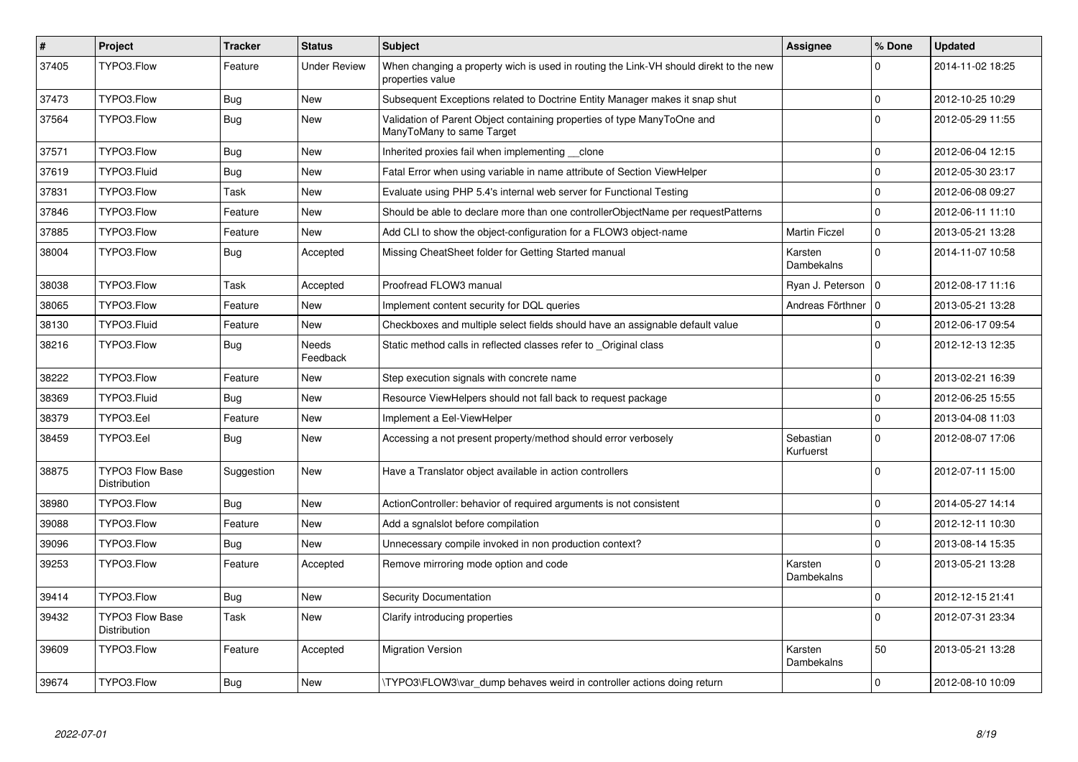| $\pmb{\#}$ | Project                                | <b>Tracker</b> | <b>Status</b>       | <b>Subject</b>                                                                                            | Assignee               | % Done       | <b>Updated</b>   |
|------------|----------------------------------------|----------------|---------------------|-----------------------------------------------------------------------------------------------------------|------------------------|--------------|------------------|
| 37405      | TYPO3.Flow                             | Feature        | <b>Under Review</b> | When changing a property wich is used in routing the Link-VH should direkt to the new<br>properties value |                        | $\Omega$     | 2014-11-02 18:25 |
| 37473      | TYPO3.Flow                             | <b>Bug</b>     | New                 | Subsequent Exceptions related to Doctrine Entity Manager makes it snap shut                               |                        | $\mathbf 0$  | 2012-10-25 10:29 |
| 37564      | TYPO3.Flow                             | <b>Bug</b>     | New                 | Validation of Parent Object containing properties of type ManyToOne and<br>ManyToMany to same Target      |                        | $\Omega$     | 2012-05-29 11:55 |
| 37571      | TYPO3.Flow                             | <b>Bug</b>     | New                 | Inherited proxies fail when implementing __clone                                                          |                        | $\mathbf 0$  | 2012-06-04 12:15 |
| 37619      | TYPO3.Fluid                            | <b>Bug</b>     | <b>New</b>          | Fatal Error when using variable in name attribute of Section ViewHelper                                   |                        | $\Omega$     | 2012-05-30 23:17 |
| 37831      | TYPO3.Flow                             | Task           | New                 | Evaluate using PHP 5.4's internal web server for Functional Testing                                       |                        | $\mathbf 0$  | 2012-06-08 09:27 |
| 37846      | TYPO3.Flow                             | Feature        | New                 | Should be able to declare more than one controllerObjectName per requestPatterns                          |                        | $\Omega$     | 2012-06-11 11:10 |
| 37885      | TYPO3.Flow                             | Feature        | <b>New</b>          | Add CLI to show the object-configuration for a FLOW3 object-name                                          | <b>Martin Ficzel</b>   | $\mathbf 0$  | 2013-05-21 13:28 |
| 38004      | TYPO3.Flow                             | Bug            | Accepted            | Missing CheatSheet folder for Getting Started manual                                                      | Karsten<br>Dambekalns  | $\Omega$     | 2014-11-07 10:58 |
| 38038      | TYPO3.Flow                             | Task           | Accepted            | Proofread FLOW3 manual                                                                                    | Ryan J. Peterson       | $\mathbf{0}$ | 2012-08-17 11:16 |
| 38065      | TYPO3.Flow                             | Feature        | New                 | Implement content security for DQL queries                                                                | Andreas Förthner       | l o          | 2013-05-21 13:28 |
| 38130      | TYPO3.Fluid                            | Feature        | New                 | Checkboxes and multiple select fields should have an assignable default value                             |                        | $\mathbf 0$  | 2012-06-17 09:54 |
| 38216      | TYPO3.Flow                             | <b>Bug</b>     | Needs<br>Feedback   | Static method calls in reflected classes refer to Original class                                          |                        | $\Omega$     | 2012-12-13 12:35 |
| 38222      | TYPO3.Flow                             | Feature        | New                 | Step execution signals with concrete name                                                                 |                        | $\mathbf{0}$ | 2013-02-21 16:39 |
| 38369      | TYPO3.Fluid                            | Bug            | New                 | Resource ViewHelpers should not fall back to request package                                              |                        | $\mathbf 0$  | 2012-06-25 15:55 |
| 38379      | TYPO3.Eel                              | Feature        | New                 | Implement a Eel-ViewHelper                                                                                |                        | $\mathbf 0$  | 2013-04-08 11:03 |
| 38459      | TYPO3.Eel                              | <b>Bug</b>     | New                 | Accessing a not present property/method should error verbosely                                            | Sebastian<br>Kurfuerst | $\Omega$     | 2012-08-07 17:06 |
| 38875      | <b>TYPO3 Flow Base</b><br>Distribution | Suggestion     | New                 | Have a Translator object available in action controllers                                                  |                        | $\Omega$     | 2012-07-11 15:00 |
| 38980      | TYPO3.Flow                             | Bug            | New                 | ActionController: behavior of required arguments is not consistent                                        |                        | $\mathbf 0$  | 2014-05-27 14:14 |
| 39088      | TYPO3.Flow                             | Feature        | New                 | Add a sqnalslot before compilation                                                                        |                        | $\Omega$     | 2012-12-11 10:30 |
| 39096      | TYPO3.Flow                             | <b>Bug</b>     | New                 | Unnecessary compile invoked in non production context?                                                    |                        | $\Omega$     | 2013-08-14 15:35 |
| 39253      | TYPO3.Flow                             | Feature        | Accepted            | Remove mirroring mode option and code                                                                     | Karsten<br>Dambekalns  | $\Omega$     | 2013-05-21 13:28 |
| 39414      | TYPO3.Flow                             | <b>Bug</b>     | New                 | Security Documentation                                                                                    |                        | $\mathbf 0$  | 2012-12-15 21:41 |
| 39432      | <b>TYPO3 Flow Base</b><br>Distribution | Task           | <b>New</b>          | Clarify introducing properties                                                                            |                        | $\Omega$     | 2012-07-31 23:34 |
| 39609      | TYPO3.Flow                             | Feature        | Accepted            | <b>Migration Version</b>                                                                                  | Karsten<br>Dambekalns  | 50           | 2013-05-21 13:28 |
| 39674      | TYPO3.Flow                             | <b>Bug</b>     | New                 | TYPO3\FLOW3\var_dump behaves weird in controller actions doing return                                     |                        | $\mathsf 0$  | 2012-08-10 10:09 |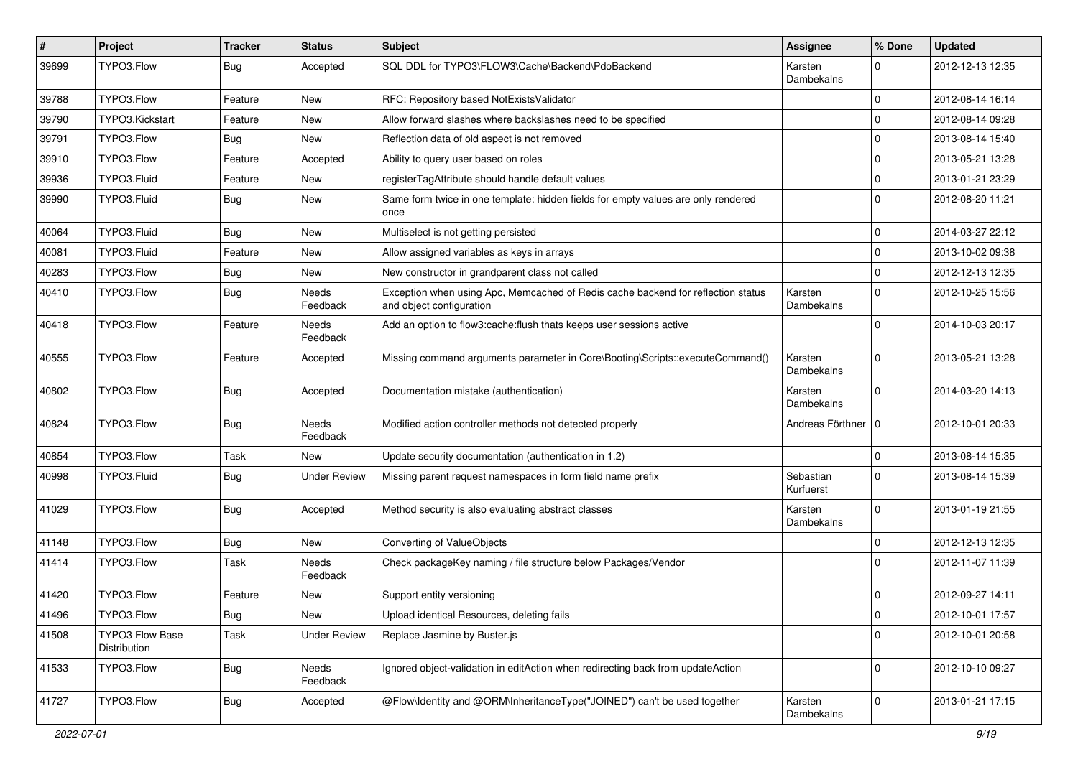| #     | Project                                | <b>Tracker</b> | <b>Status</b>            | Subject                                                                                                      | Assignee               | % Done      | <b>Updated</b>   |
|-------|----------------------------------------|----------------|--------------------------|--------------------------------------------------------------------------------------------------------------|------------------------|-------------|------------------|
| 39699 | TYPO3.Flow                             | Bug            | Accepted                 | SQL DDL for TYPO3\FLOW3\Cache\Backend\PdoBackend                                                             | Karsten<br>Dambekalns  | $\Omega$    | 2012-12-13 12:35 |
| 39788 | TYPO3.Flow                             | Feature        | New                      | RFC: Repository based NotExistsValidator                                                                     |                        | $\mathbf 0$ | 2012-08-14 16:14 |
| 39790 | TYPO3.Kickstart                        | Feature        | New                      | Allow forward slashes where backslashes need to be specified                                                 |                        | $\mathbf 0$ | 2012-08-14 09:28 |
| 39791 | TYPO3.Flow                             | <b>Bug</b>     | New                      | Reflection data of old aspect is not removed                                                                 |                        | $\mathbf 0$ | 2013-08-14 15:40 |
| 39910 | TYPO3.Flow                             | Feature        | Accepted                 | Ability to query user based on roles                                                                         |                        | $\mathbf 0$ | 2013-05-21 13:28 |
| 39936 | TYPO3.Fluid                            | Feature        | New                      | registerTagAttribute should handle default values                                                            |                        | $\mathbf 0$ | 2013-01-21 23:29 |
| 39990 | TYPO3.Fluid                            | Bug            | New                      | Same form twice in one template: hidden fields for empty values are only rendered<br>once                    |                        | $\Omega$    | 2012-08-20 11:21 |
| 40064 | TYPO3.Fluid                            | <b>Bug</b>     | New                      | Multiselect is not getting persisted                                                                         |                        | $\mathbf 0$ | 2014-03-27 22:12 |
| 40081 | TYPO3.Fluid                            | Feature        | New                      | Allow assigned variables as keys in arrays                                                                   |                        | $\mathbf 0$ | 2013-10-02 09:38 |
| 40283 | TYPO3.Flow                             | <b>Bug</b>     | New                      | New constructor in grandparent class not called                                                              |                        | $\mathbf 0$ | 2012-12-13 12:35 |
| 40410 | TYPO3.Flow                             | <b>Bug</b>     | <b>Needs</b><br>Feedback | Exception when using Apc, Memcached of Redis cache backend for reflection status<br>and object configuration | Karsten<br>Dambekalns  | $\Omega$    | 2012-10-25 15:56 |
| 40418 | TYPO3.Flow                             | Feature        | <b>Needs</b><br>Feedback | Add an option to flow3:cache:flush thats keeps user sessions active                                          |                        | $\Omega$    | 2014-10-03 20:17 |
| 40555 | TYPO3.Flow                             | Feature        | Accepted                 | Missing command arguments parameter in Core\Booting\Scripts::executeCommand()                                | Karsten<br>Dambekalns  | $\Omega$    | 2013-05-21 13:28 |
| 40802 | TYPO3.Flow                             | Bug            | Accepted                 | Documentation mistake (authentication)                                                                       | Karsten<br>Dambekalns  | $\Omega$    | 2014-03-20 14:13 |
| 40824 | TYPO3.Flow                             | <b>Bug</b>     | <b>Needs</b><br>Feedback | Modified action controller methods not detected properly                                                     | Andreas Förthner   0   |             | 2012-10-01 20:33 |
| 40854 | TYPO3.Flow                             | Task           | New                      | Update security documentation (authentication in 1.2)                                                        |                        | $\mathbf 0$ | 2013-08-14 15:35 |
| 40998 | TYPO3.Fluid                            | <b>Bug</b>     | <b>Under Review</b>      | Missing parent request namespaces in form field name prefix                                                  | Sebastian<br>Kurfuerst | $\Omega$    | 2013-08-14 15:39 |
| 41029 | TYPO3.Flow                             | <b>Bug</b>     | Accepted                 | Method security is also evaluating abstract classes                                                          | Karsten<br>Dambekalns  | $\Omega$    | 2013-01-19 21:55 |
| 41148 | TYPO3.Flow                             | <b>Bug</b>     | New                      | Converting of ValueObjects                                                                                   |                        | $\Omega$    | 2012-12-13 12:35 |
| 41414 | TYPO3.Flow                             | Task           | Needs<br>Feedback        | Check packageKey naming / file structure below Packages/Vendor                                               |                        | $\Omega$    | 2012-11-07 11:39 |
| 41420 | TYPO3.Flow                             | Feature        | New                      | Support entity versioning                                                                                    |                        | $\mathbf 0$ | 2012-09-27 14:11 |
| 41496 | TYPO3.Flow                             | Bug            | New                      | Upload identical Resources, deleting fails                                                                   |                        | $\mathbf 0$ | 2012-10-01 17:57 |
| 41508 | <b>TYPO3 Flow Base</b><br>Distribution | Task           | <b>Under Review</b>      | Replace Jasmine by Buster.js                                                                                 |                        | $\mathbf 0$ | 2012-10-01 20:58 |
| 41533 | TYPO3.Flow                             | <b>Bug</b>     | Needs<br>Feedback        | Ignored object-validation in editAction when redirecting back from updateAction                              |                        | $\mathbf 0$ | 2012-10-10 09:27 |
| 41727 | TYPO3.Flow                             | <b>Bug</b>     | Accepted                 | @Flow\Identity and @ORM\InheritanceType("JOINED") can't be used together                                     | Karsten<br>Dambekalns  | $\mathbf 0$ | 2013-01-21 17:15 |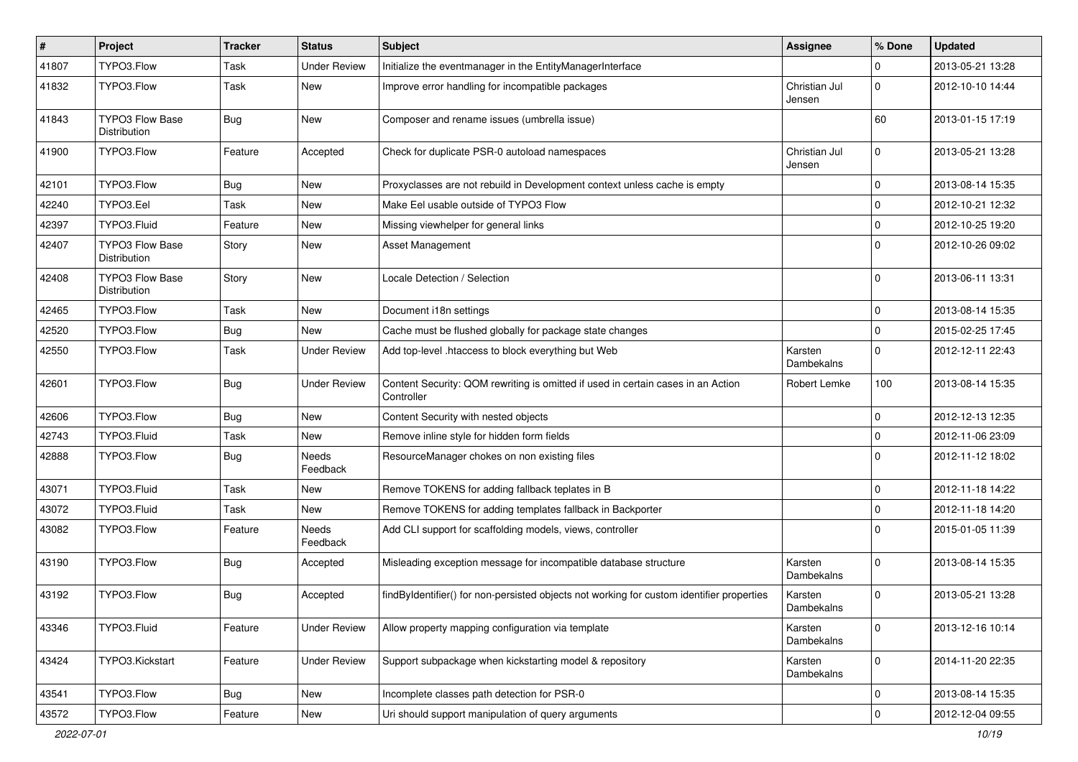| #     | Project                         | <b>Tracker</b> | <b>Status</b>            | Subject                                                                                        | <b>Assignee</b>         | % Done              | <b>Updated</b>   |
|-------|---------------------------------|----------------|--------------------------|------------------------------------------------------------------------------------------------|-------------------------|---------------------|------------------|
| 41807 | TYPO3.Flow                      | Task           | Under Review             | Initialize the eventmanager in the EntityManagerInterface                                      |                         | 0                   | 2013-05-21 13:28 |
| 41832 | TYPO3.Flow                      | Task           | New                      | Improve error handling for incompatible packages                                               | Christian Jul<br>Jensen | $\mathbf 0$         | 2012-10-10 14:44 |
| 41843 | TYPO3 Flow Base<br>Distribution | <b>Bug</b>     | New                      | Composer and rename issues (umbrella issue)                                                    |                         | 60                  | 2013-01-15 17:19 |
| 41900 | TYPO3.Flow                      | Feature        | Accepted                 | Check for duplicate PSR-0 autoload namespaces                                                  | Christian Jul<br>Jensen | $\mathbf 0$         | 2013-05-21 13:28 |
| 42101 | TYPO3.Flow                      | Bug            | New                      | Proxyclasses are not rebuild in Development context unless cache is empty                      |                         | $\mathbf 0$         | 2013-08-14 15:35 |
| 42240 | TYPO3.Eel                       | Task           | New                      | Make Eel usable outside of TYPO3 Flow                                                          |                         | 0                   | 2012-10-21 12:32 |
| 42397 | TYPO3.Fluid                     | Feature        | New                      | Missing viewhelper for general links                                                           |                         | $\mathbf 0$         | 2012-10-25 19:20 |
| 42407 | TYPO3 Flow Base<br>Distribution | Story          | New                      | Asset Management                                                                               |                         | $\mathbf 0$         | 2012-10-26 09:02 |
| 42408 | TYPO3 Flow Base<br>Distribution | Story          | New                      | Locale Detection / Selection                                                                   |                         | 0                   | 2013-06-11 13:31 |
| 42465 | TYPO3.Flow                      | Task           | New                      | Document i18n settings                                                                         |                         | $\mathbf 0$         | 2013-08-14 15:35 |
| 42520 | TYPO3.Flow                      | Bug            | <b>New</b>               | Cache must be flushed globally for package state changes                                       |                         | $\mathbf 0$         | 2015-02-25 17:45 |
| 42550 | TYPO3.Flow                      | Task           | <b>Under Review</b>      | Add top-level .htaccess to block everything but Web                                            | Karsten<br>Dambekalns   | $\mathbf 0$         | 2012-12-11 22:43 |
| 42601 | TYPO3.Flow                      | <b>Bug</b>     | <b>Under Review</b>      | Content Security: QOM rewriting is omitted if used in certain cases in an Action<br>Controller | Robert Lemke            | 100                 | 2013-08-14 15:35 |
| 42606 | TYPO3.Flow                      | <b>Bug</b>     | <b>New</b>               | Content Security with nested objects                                                           |                         | 0                   | 2012-12-13 12:35 |
| 42743 | TYPO3.Fluid                     | Task           | New                      | Remove inline style for hidden form fields                                                     |                         | 0                   | 2012-11-06 23:09 |
| 42888 | TYPO3.Flow                      | <b>Bug</b>     | Needs<br>Feedback        | ResourceManager chokes on non existing files                                                   |                         | $\Omega$            | 2012-11-12 18:02 |
| 43071 | TYPO3.Fluid                     | Task           | New                      | Remove TOKENS for adding fallback teplates in B                                                |                         | $\mathbf 0$         | 2012-11-18 14:22 |
| 43072 | TYPO3.Fluid                     | Task           | New                      | Remove TOKENS for adding templates fallback in Backporter                                      |                         | $\mathbf 0$         | 2012-11-18 14:20 |
| 43082 | TYPO3.Flow                      | Feature        | <b>Needs</b><br>Feedback | Add CLI support for scaffolding models, views, controller                                      |                         | $\Omega$            | 2015-01-05 11:39 |
| 43190 | TYPO3.Flow                      | <b>Bug</b>     | Accepted                 | Misleading exception message for incompatible database structure                               | Karsten<br>Dambekalns   | $\mathbf 0$         | 2013-08-14 15:35 |
| 43192 | TYPO3.Flow                      | <b>Bug</b>     | Accepted                 | findByIdentifier() for non-persisted objects not working for custom identifier properties      | Karsten<br>Dambekalns   | $\Omega$            | 2013-05-21 13:28 |
| 43346 | TYPO3.Fluid                     | Feature        | <b>Under Review</b>      | Allow property mapping configuration via template                                              | Karsten<br>Dambekalns   | $\mathbf{0}$        | 2013-12-16 10:14 |
| 43424 | TYPO3.Kickstart                 | Feature        | <b>Under Review</b>      | Support subpackage when kickstarting model & repository                                        | Karsten<br>Dambekalns   | $\mathsf{O}\xspace$ | 2014-11-20 22:35 |
| 43541 | TYPO3.Flow                      | <b>Bug</b>     | New                      | Incomplete classes path detection for PSR-0                                                    |                         | $\mathbf 0$         | 2013-08-14 15:35 |
| 43572 | TYPO3.Flow                      | Feature        | New                      | Uri should support manipulation of query arguments                                             |                         | $\mathsf{O}\xspace$ | 2012-12-04 09:55 |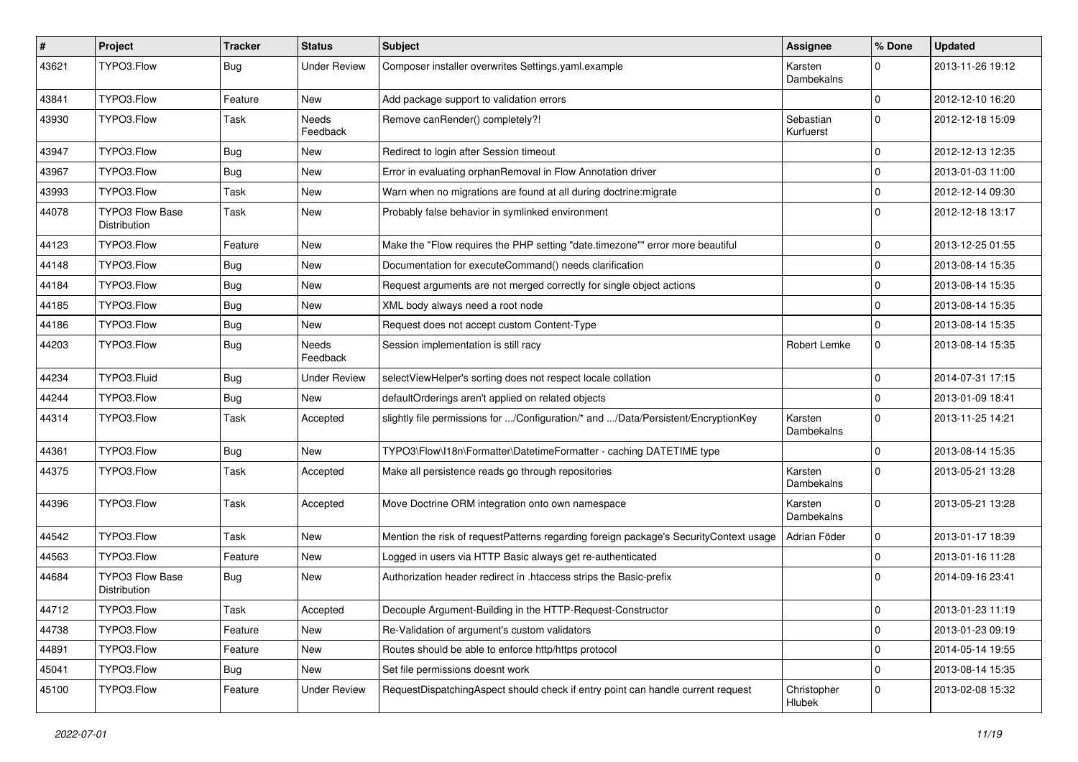| #     | Project                                | <b>Tracker</b> | <b>Status</b>       | <b>Subject</b>                                                                        | Assignee               | % Done      | <b>Updated</b>   |
|-------|----------------------------------------|----------------|---------------------|---------------------------------------------------------------------------------------|------------------------|-------------|------------------|
| 43621 | TYPO3.Flow                             | <b>Bug</b>     | Under Review        | Composer installer overwrites Settings.yaml.example                                   | Karsten<br>Dambekalns  | $\Omega$    | 2013-11-26 19:12 |
| 43841 | TYPO3.Flow                             | Feature        | New                 | Add package support to validation errors                                              |                        | $\mathbf 0$ | 2012-12-10 16:20 |
| 43930 | TYPO3.Flow                             | Task           | Needs<br>Feedback   | Remove canRender() completely?!                                                       | Sebastian<br>Kurfuerst | $\Omega$    | 2012-12-18 15:09 |
| 43947 | TYPO3.Flow                             | <b>Bug</b>     | New                 | Redirect to login after Session timeout                                               |                        | $\mathbf 0$ | 2012-12-13 12:35 |
| 43967 | TYPO3.Flow                             | <b>Bug</b>     | New                 | Error in evaluating orphanRemoval in Flow Annotation driver                           |                        | $\Omega$    | 2013-01-03 11:00 |
| 43993 | TYPO3.Flow                             | Task           | New                 | Warn when no migrations are found at all during doctrine: migrate                     |                        | $\mathbf 0$ | 2012-12-14 09:30 |
| 44078 | <b>TYPO3 Flow Base</b><br>Distribution | Task           | New                 | Probably false behavior in symlinked environment                                      |                        | $\Omega$    | 2012-12-18 13:17 |
| 44123 | TYPO3.Flow                             | Feature        | New                 | Make the "Flow requires the PHP setting "date.timezone"" error more beautiful         |                        | $\mathbf 0$ | 2013-12-25 01:55 |
| 44148 | TYPO3.Flow                             | <b>Bug</b>     | New                 | Documentation for executeCommand() needs clarification                                |                        | $\mathbf 0$ | 2013-08-14 15:35 |
| 44184 | TYPO3.Flow                             | Bug            | New                 | Request arguments are not merged correctly for single object actions                  |                        | 0           | 2013-08-14 15:35 |
| 44185 | TYPO3.Flow                             | <b>Bug</b>     | New                 | XML body always need a root node                                                      |                        | $\mathbf 0$ | 2013-08-14 15:35 |
| 44186 | TYPO3.Flow                             | <b>Bug</b>     | New                 | Request does not accept custom Content-Type                                           |                        | $\Omega$    | 2013-08-14 15:35 |
| 44203 | TYPO3.Flow                             | Bug            | Needs<br>Feedback   | Session implementation is still racy                                                  | Robert Lemke           | 0           | 2013-08-14 15:35 |
| 44234 | TYPO3.Fluid                            | Bug            | <b>Under Review</b> | selectViewHelper's sorting does not respect locale collation                          |                        | $\mathbf 0$ | 2014-07-31 17:15 |
| 44244 | TYPO3.Flow                             | <b>Bug</b>     | New                 | defaultOrderings aren't applied on related objects                                    |                        | $\mathbf 0$ | 2013-01-09 18:41 |
| 44314 | TYPO3.Flow                             | Task           | Accepted            | slightly file permissions for /Configuration/* and /Data/Persistent/EncryptionKey     | Karsten<br>Dambekalns  | 0           | 2013-11-25 14:21 |
| 44361 | TYPO3.Flow                             | Bug            | New                 | TYPO3\Flow\I18n\Formatter\DatetimeFormatter - caching DATETIME type                   |                        | $\mathbf 0$ | 2013-08-14 15:35 |
| 44375 | TYPO3.Flow                             | Task           | Accepted            | Make all persistence reads go through repositories                                    | Karsten<br>Dambekalns  | $\Omega$    | 2013-05-21 13:28 |
| 44396 | TYPO3.Flow                             | Task           | Accepted            | Move Doctrine ORM integration onto own namespace                                      | Karsten<br>Dambekalns  | $\Omega$    | 2013-05-21 13:28 |
| 44542 | TYPO3.Flow                             | Task           | New                 | Mention the risk of requestPatterns regarding foreign package's SecurityContext usage | Adrian Föder           | 0           | 2013-01-17 18:39 |
| 44563 | TYPO3.Flow                             | Feature        | New                 | Logged in users via HTTP Basic always get re-authenticated                            |                        | $\mathbf 0$ | 2013-01-16 11:28 |
| 44684 | <b>TYPO3 Flow Base</b><br>Distribution | Bug            | New                 | Authorization header redirect in .htaccess strips the Basic-prefix                    |                        | $\Omega$    | 2014-09-16 23:41 |
| 44712 | TYPO3.Flow                             | Task           | Accepted            | Decouple Argument-Building in the HTTP-Request-Constructor                            |                        | 0           | 2013-01-23 11:19 |
| 44738 | TYPO3.Flow                             | Feature        | New                 | Re-Validation of argument's custom validators                                         |                        | $\mathbf 0$ | 2013-01-23 09:19 |
| 44891 | TYPO3.Flow                             | Feature        | New                 | Routes should be able to enforce http/https protocol                                  |                        | $\mathbf 0$ | 2014-05-14 19:55 |
| 45041 | TYPO3.Flow                             | <b>Bug</b>     | New                 | Set file permissions doesnt work                                                      |                        | $\mathbf 0$ | 2013-08-14 15:35 |
| 45100 | TYPO3.Flow                             | Feature        | <b>Under Review</b> | RequestDispatchingAspect should check if entry point can handle current request       | Christopher<br>Hlubek  | 0           | 2013-02-08 15:32 |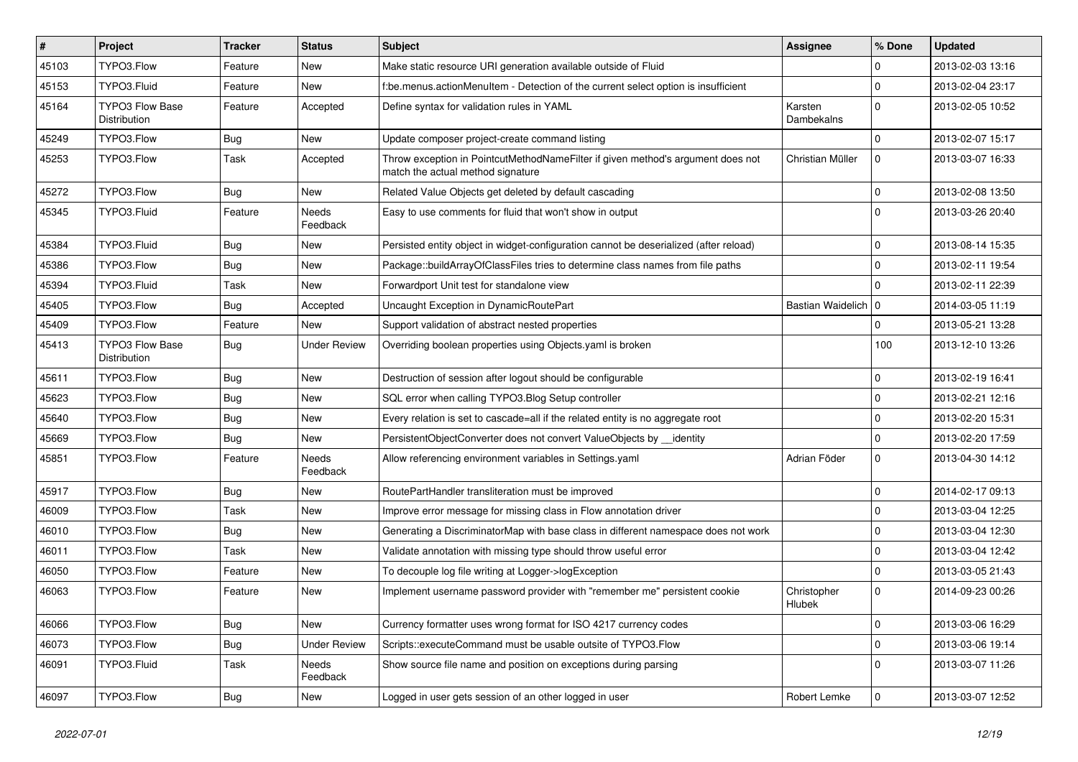| $\vert$ # | Project                                | <b>Tracker</b> | <b>Status</b>       | Subject                                                                                                              | <b>Assignee</b>       | % Done      | <b>Updated</b>   |
|-----------|----------------------------------------|----------------|---------------------|----------------------------------------------------------------------------------------------------------------------|-----------------------|-------------|------------------|
| 45103     | TYPO3.Flow                             | Feature        | New                 | Make static resource URI generation available outside of Fluid                                                       |                       | $\mathbf 0$ | 2013-02-03 13:16 |
| 45153     | TYPO3.Fluid                            | Feature        | New                 | f:be.menus.actionMenuItem - Detection of the current select option is insufficient                                   |                       | $\mathbf 0$ | 2013-02-04 23:17 |
| 45164     | <b>TYPO3 Flow Base</b><br>Distribution | Feature        | Accepted            | Define syntax for validation rules in YAML                                                                           | Karsten<br>Dambekalns | $\Omega$    | 2013-02-05 10:52 |
| 45249     | TYPO3.Flow                             | <b>Bug</b>     | <b>New</b>          | Update composer project-create command listing                                                                       |                       | $\mathbf 0$ | 2013-02-07 15:17 |
| 45253     | TYPO3.Flow                             | Task           | Accepted            | Throw exception in PointcutMethodNameFilter if given method's argument does not<br>match the actual method signature | Christian Müller      | $\mathbf 0$ | 2013-03-07 16:33 |
| 45272     | TYPO3.Flow                             | Bug            | New                 | Related Value Objects get deleted by default cascading                                                               |                       | $\mathbf 0$ | 2013-02-08 13:50 |
| 45345     | TYPO3.Fluid                            | Feature        | Needs<br>Feedback   | Easy to use comments for fluid that won't show in output                                                             |                       | $\Omega$    | 2013-03-26 20:40 |
| 45384     | TYPO3.Fluid                            | Bug            | New                 | Persisted entity object in widget-configuration cannot be deserialized (after reload)                                |                       | $\mathbf 0$ | 2013-08-14 15:35 |
| 45386     | TYPO3.Flow                             | <b>Bug</b>     | New                 | Package::buildArrayOfClassFiles tries to determine class names from file paths                                       |                       | $\mathbf 0$ | 2013-02-11 19:54 |
| 45394     | TYPO3.Fluid                            | Task           | <b>New</b>          | Forwardport Unit test for standalone view                                                                            |                       | $\Omega$    | 2013-02-11 22:39 |
| 45405     | TYPO3.Flow                             | Bug            | Accepted            | Uncaught Exception in DynamicRoutePart                                                                               | Bastian Waidelich   0 |             | 2014-03-05 11:19 |
| 45409     | TYPO3.Flow                             | Feature        | New                 | Support validation of abstract nested properties                                                                     |                       | $\mathbf 0$ | 2013-05-21 13:28 |
| 45413     | <b>TYPO3 Flow Base</b><br>Distribution | Bug            | <b>Under Review</b> | Overriding boolean properties using Objects yaml is broken                                                           |                       | 100         | 2013-12-10 13:26 |
| 45611     | TYPO3.Flow                             | <b>Bug</b>     | New                 | Destruction of session after logout should be configurable                                                           |                       | $\mathbf 0$ | 2013-02-19 16:41 |
| 45623     | TYPO3.Flow                             | Bug            | New                 | SQL error when calling TYPO3.Blog Setup controller                                                                   |                       | $\mathbf 0$ | 2013-02-21 12:16 |
| 45640     | TYPO3.Flow                             | <b>Bug</b>     | New                 | Every relation is set to cascade=all if the related entity is no aggregate root                                      |                       | $\mathbf 0$ | 2013-02-20 15:31 |
| 45669     | TYPO3.Flow                             | <b>Bug</b>     | <b>New</b>          | PersistentObjectConverter does not convert ValueObjects by __identity                                                |                       | $\mathbf 0$ | 2013-02-20 17:59 |
| 45851     | TYPO3.Flow                             | Feature        | Needs<br>Feedback   | Allow referencing environment variables in Settings.yaml                                                             | Adrian Föder          | $\mathbf 0$ | 2013-04-30 14:12 |
| 45917     | TYPO3.Flow                             | Bug            | New                 | RoutePartHandler transliteration must be improved                                                                    |                       | $\mathbf 0$ | 2014-02-17 09:13 |
| 46009     | TYPO3.Flow                             | Task           | New                 | Improve error message for missing class in Flow annotation driver                                                    |                       | $\mathbf 0$ | 2013-03-04 12:25 |
| 46010     | TYPO3.Flow                             | <b>Bug</b>     | New                 | Generating a DiscriminatorMap with base class in different namespace does not work                                   |                       | $\mathbf 0$ | 2013-03-04 12:30 |
| 46011     | TYPO3.Flow                             | Task           | New                 | Validate annotation with missing type should throw useful error                                                      |                       | $\mathbf 0$ | 2013-03-04 12:42 |
| 46050     | TYPO3.Flow                             | Feature        | New                 | To decouple log file writing at Logger->logException                                                                 |                       | $\mathbf 0$ | 2013-03-05 21:43 |
| 46063     | TYPO3.Flow                             | Feature        | New                 | Implement username password provider with "remember me" persistent cookie                                            | Christopher<br>Hlubek | $\Omega$    | 2014-09-23 00:26 |
| 46066     | TYPO3.Flow                             | <b>Bug</b>     | New                 | Currency formatter uses wrong format for ISO 4217 currency codes                                                     |                       | $\mathbf 0$ | 2013-03-06 16:29 |
| 46073     | TYPO3.Flow                             | <b>Bug</b>     | <b>Under Review</b> | Scripts::executeCommand must be usable outsite of TYPO3.Flow                                                         |                       | $\mathbf 0$ | 2013-03-06 19:14 |
| 46091     | TYPO3.Fluid                            | Task           | Needs<br>Feedback   | Show source file name and position on exceptions during parsing                                                      |                       | $\mathbf 0$ | 2013-03-07 11:26 |
| 46097     | TYPO3.Flow                             | <b>Bug</b>     | New                 | Logged in user gets session of an other logged in user                                                               | Robert Lemke          | $\mathbf 0$ | 2013-03-07 12:52 |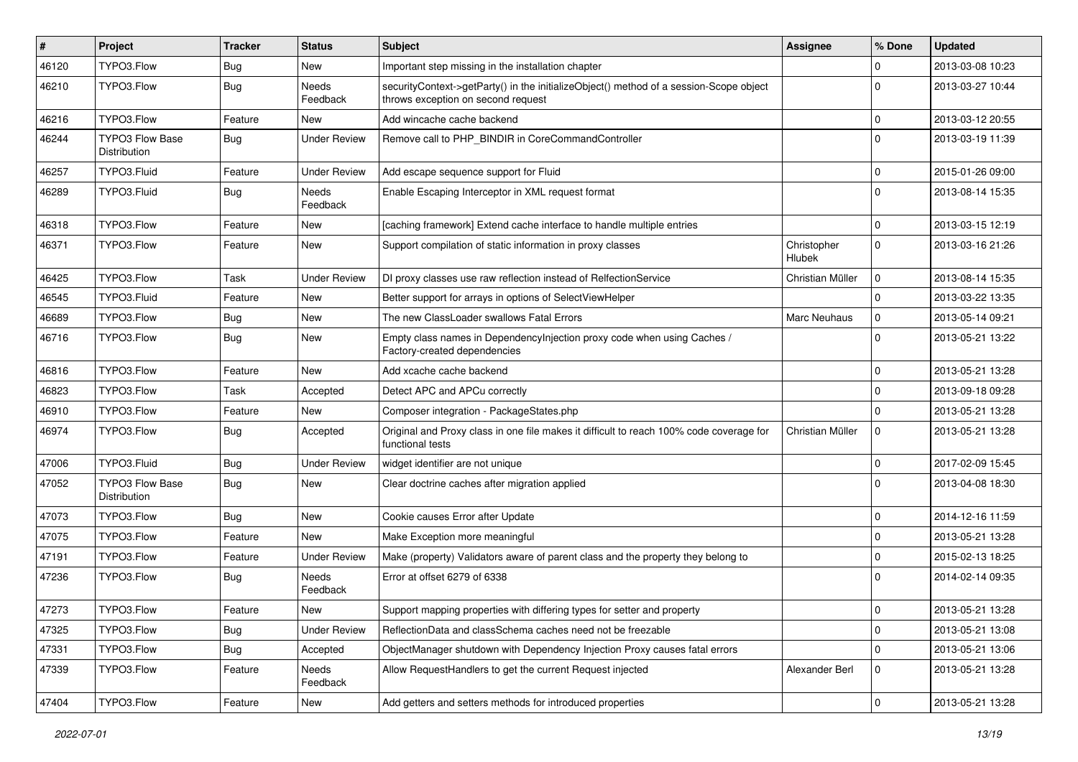| #     | Project                                | <b>Tracker</b> | <b>Status</b>       | <b>Subject</b>                                                                                                               | Assignee              | % Done              | <b>Updated</b>   |
|-------|----------------------------------------|----------------|---------------------|------------------------------------------------------------------------------------------------------------------------------|-----------------------|---------------------|------------------|
| 46120 | TYPO3.Flow                             | <b>Bug</b>     | New                 | Important step missing in the installation chapter                                                                           |                       | 0                   | 2013-03-08 10:23 |
| 46210 | TYPO3.Flow                             | Bug            | Needs<br>Feedback   | securityContext->getParty() in the initializeObject() method of a session-Scope object<br>throws exception on second request |                       | $\Omega$            | 2013-03-27 10:44 |
| 46216 | TYPO3.Flow                             | Feature        | New                 | Add wincache cache backend                                                                                                   |                       | 0                   | 2013-03-12 20:55 |
| 46244 | <b>TYPO3 Flow Base</b><br>Distribution | Bug            | <b>Under Review</b> | Remove call to PHP_BINDIR in CoreCommandController                                                                           |                       | $\Omega$            | 2013-03-19 11:39 |
| 46257 | TYPO3.Fluid                            | Feature        | <b>Under Review</b> | Add escape sequence support for Fluid                                                                                        |                       | $\mathbf 0$         | 2015-01-26 09:00 |
| 46289 | TYPO3.Fluid                            | Bug            | Needs<br>Feedback   | Enable Escaping Interceptor in XML request format                                                                            |                       | $\Omega$            | 2013-08-14 15:35 |
| 46318 | TYPO3.Flow                             | Feature        | New                 | [caching framework] Extend cache interface to handle multiple entries                                                        |                       | $\mathbf 0$         | 2013-03-15 12:19 |
| 46371 | TYPO3.Flow                             | Feature        | New                 | Support compilation of static information in proxy classes                                                                   | Christopher<br>Hlubek | $\Omega$            | 2013-03-16 21:26 |
| 46425 | TYPO3.Flow                             | Task           | <b>Under Review</b> | DI proxy classes use raw reflection instead of RelfectionService                                                             | Christian Müller      | $\mathbf 0$         | 2013-08-14 15:35 |
| 46545 | TYPO3.Fluid                            | Feature        | New                 | Better support for arrays in options of SelectViewHelper                                                                     |                       | $\Omega$            | 2013-03-22 13:35 |
| 46689 | TYPO3.Flow                             | <b>Bug</b>     | New                 | The new ClassLoader swallows Fatal Errors                                                                                    | Marc Neuhaus          | $\mathbf 0$         | 2013-05-14 09:21 |
| 46716 | TYPO3.Flow                             | Bug            | New                 | Empty class names in Dependencylniection proxy code when using Caches /<br>Factory-created dependencies                      |                       | $\Omega$            | 2013-05-21 13:22 |
| 46816 | TYPO3.Flow                             | Feature        | New                 | Add xcache cache backend                                                                                                     |                       | $\mathbf 0$         | 2013-05-21 13:28 |
| 46823 | TYPO3.Flow                             | Task           | Accepted            | Detect APC and APCu correctly                                                                                                |                       | $\mathbf 0$         | 2013-09-18 09:28 |
| 46910 | TYPO3.Flow                             | Feature        | New                 | Composer integration - PackageStates.php                                                                                     |                       | $\Omega$            | 2013-05-21 13:28 |
| 46974 | TYPO3.Flow                             | Bug            | Accepted            | Original and Proxy class in one file makes it difficult to reach 100% code coverage for<br>functional tests                  | Christian Müller      | $\Omega$            | 2013-05-21 13:28 |
| 47006 | TYPO3.Fluid                            | <b>Bug</b>     | <b>Under Review</b> | widget identifier are not unique                                                                                             |                       | $\mathbf 0$         | 2017-02-09 15:45 |
| 47052 | <b>TYPO3 Flow Base</b><br>Distribution | Bug            | New                 | Clear doctrine caches after migration applied                                                                                |                       | $\Omega$            | 2013-04-08 18:30 |
| 47073 | TYPO3.Flow                             | Bug            | New                 | Cookie causes Error after Update                                                                                             |                       | $\mathbf 0$         | 2014-12-16 11:59 |
| 47075 | TYPO3.Flow                             | Feature        | New                 | Make Exception more meaningful                                                                                               |                       | $\Omega$            | 2013-05-21 13:28 |
| 47191 | TYPO3.Flow                             | Feature        | <b>Under Review</b> | Make (property) Validators aware of parent class and the property they belong to                                             |                       | $\mathbf 0$         | 2015-02-13 18:25 |
| 47236 | TYPO3.Flow                             | Bug            | Needs<br>Feedback   | Error at offset 6279 of 6338                                                                                                 |                       | $\Omega$            | 2014-02-14 09:35 |
| 47273 | TYPO3.Flow                             | Feature        | New                 | Support mapping properties with differing types for setter and property                                                      |                       | 0                   | 2013-05-21 13:28 |
| 47325 | TYPO3.Flow                             | <b>Bug</b>     | <b>Under Review</b> | ReflectionData and classSchema caches need not be freezable                                                                  |                       | $\mathbf 0$         | 2013-05-21 13:08 |
| 47331 | TYPO3.Flow                             | <b>Bug</b>     | Accepted            | ObjectManager shutdown with Dependency Injection Proxy causes fatal errors                                                   |                       | $\mathbf 0$         | 2013-05-21 13:06 |
| 47339 | TYPO3.Flow                             | Feature        | Needs<br>Feedback   | Allow RequestHandlers to get the current Request injected                                                                    | Alexander Berl        | $\mathbf 0$         | 2013-05-21 13:28 |
| 47404 | TYPO3.Flow                             | Feature        | New                 | Add getters and setters methods for introduced properties                                                                    |                       | $\mathsf{O}\xspace$ | 2013-05-21 13:28 |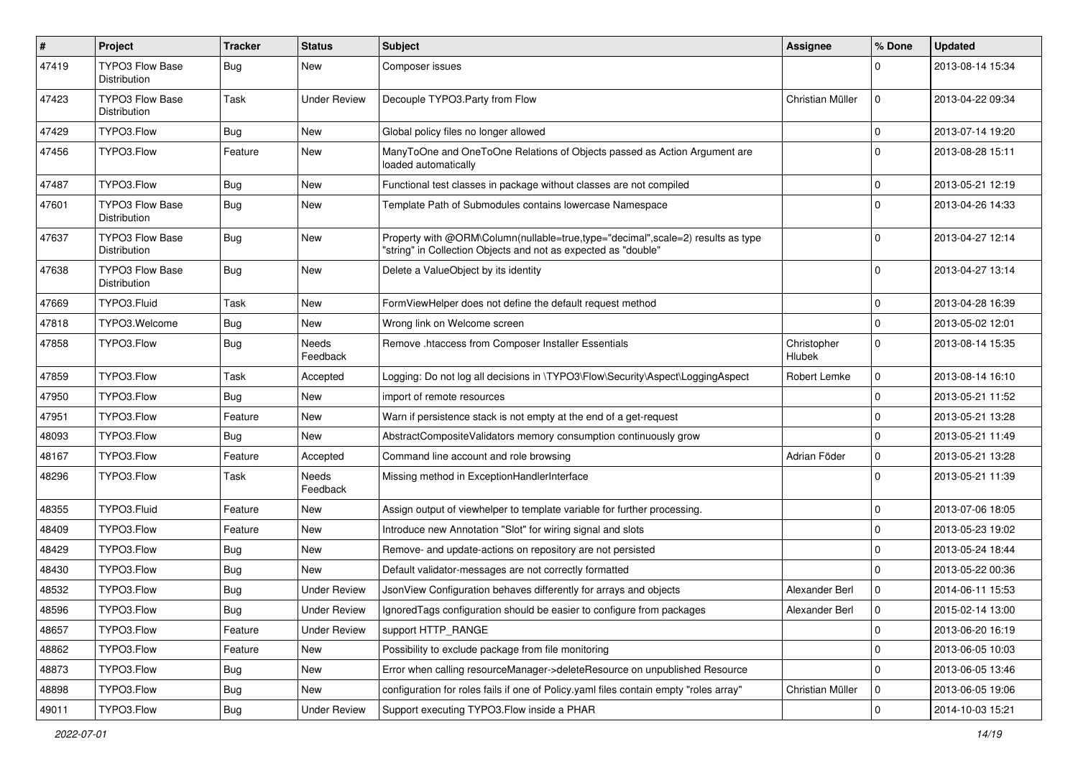| $\pmb{\#}$ | <b>Project</b>                         | <b>Tracker</b> | <b>Status</b>       | <b>Subject</b>                                                                                                                                    | Assignee              | % Done         | <b>Updated</b>   |
|------------|----------------------------------------|----------------|---------------------|---------------------------------------------------------------------------------------------------------------------------------------------------|-----------------------|----------------|------------------|
| 47419      | <b>TYPO3 Flow Base</b><br>Distribution | Bug            | New                 | Composer issues                                                                                                                                   |                       | $\Omega$       | 2013-08-14 15:34 |
| 47423      | <b>TYPO3 Flow Base</b><br>Distribution | Task           | <b>Under Review</b> | Decouple TYPO3. Party from Flow                                                                                                                   | Christian Müller      | $\Omega$       | 2013-04-22 09:34 |
| 47429      | TYPO3.Flow                             | Bug            | New                 | Global policy files no longer allowed                                                                                                             |                       | $\mathbf 0$    | 2013-07-14 19:20 |
| 47456      | TYPO3.Flow                             | Feature        | New                 | ManyToOne and OneToOne Relations of Objects passed as Action Argument are<br>loaded automatically                                                 |                       | $\Omega$       | 2013-08-28 15:11 |
| 47487      | TYPO3.Flow                             | Bug            | New                 | Functional test classes in package without classes are not compiled                                                                               |                       | $\mathbf 0$    | 2013-05-21 12:19 |
| 47601      | <b>TYPO3 Flow Base</b><br>Distribution | Bug            | New                 | Template Path of Submodules contains lowercase Namespace                                                                                          |                       | $\Omega$       | 2013-04-26 14:33 |
| 47637      | TYPO3 Flow Base<br>Distribution        | Bug            | New                 | Property with @ORM\Column(nullable=true,type="decimal",scale=2) results as type<br>"string" in Collection Objects and not as expected as "double" |                       | $\Omega$       | 2013-04-27 12:14 |
| 47638      | <b>TYPO3 Flow Base</b><br>Distribution | Bug            | New                 | Delete a ValueObject by its identity                                                                                                              |                       | $\Omega$       | 2013-04-27 13:14 |
| 47669      | TYPO3.Fluid                            | Task           | New                 | FormViewHelper does not define the default request method                                                                                         |                       | $\Omega$       | 2013-04-28 16:39 |
| 47818      | TYPO3.Welcome                          | Bug            | New                 | Wrong link on Welcome screen                                                                                                                      |                       | $\Omega$       | 2013-05-02 12:01 |
| 47858      | TYPO3.Flow                             | Bug            | Needs<br>Feedback   | Remove .htaccess from Composer Installer Essentials                                                                                               | Christopher<br>Hlubek | $\Omega$       | 2013-08-14 15:35 |
| 47859      | TYPO3.Flow                             | Task           | Accepted            | Logging: Do not log all decisions in \TYPO3\Flow\Security\Aspect\LoggingAspect                                                                    | Robert Lemke          | $\mathbf 0$    | 2013-08-14 16:10 |
| 47950      | TYPO3.Flow                             | Bug            | New                 | import of remote resources                                                                                                                        |                       | $\Omega$       | 2013-05-21 11:52 |
| 47951      | TYPO3.Flow                             | Feature        | New                 | Warn if persistence stack is not empty at the end of a get-request                                                                                |                       | $\Omega$       | 2013-05-21 13:28 |
| 48093      | TYPO3.Flow                             | Bug            | New                 | AbstractCompositeValidators memory consumption continuously grow                                                                                  |                       | $\Omega$       | 2013-05-21 11:49 |
| 48167      | TYPO3.Flow                             | Feature        | Accepted            | Command line account and role browsing                                                                                                            | Adrian Föder          | $\mathbf 0$    | 2013-05-21 13:28 |
| 48296      | TYPO3.Flow                             | Task           | Needs<br>Feedback   | Missing method in ExceptionHandlerInterface                                                                                                       |                       | $\Omega$       | 2013-05-21 11:39 |
| 48355      | TYPO3.Fluid                            | Feature        | New                 | Assign output of viewhelper to template variable for further processing.                                                                          |                       | $\Omega$       | 2013-07-06 18:05 |
| 48409      | TYPO3.Flow                             | Feature        | New                 | Introduce new Annotation "Slot" for wiring signal and slots                                                                                       |                       | $\mathbf 0$    | 2013-05-23 19:02 |
| 48429      | TYPO3.Flow                             | Bug            | New                 | Remove- and update-actions on repository are not persisted                                                                                        |                       | $\Omega$       | 2013-05-24 18:44 |
| 48430      | TYPO3.Flow                             | Bug            | <b>New</b>          | Default validator-messages are not correctly formatted                                                                                            |                       | $\Omega$       | 2013-05-22 00:36 |
| 48532      | TYPO3.Flow                             | Bug            | <b>Under Review</b> | JsonView Configuration behaves differently for arrays and objects                                                                                 | Alexander Berl        | $\mathbf 0$    | 2014-06-11 15:53 |
| 48596      | TYPO3.Flow                             | <b>Bug</b>     | <b>Under Review</b> | Ignored Tags configuration should be easier to configure from packages                                                                            | Alexander Berl        |                | 2015-02-14 13:00 |
| 48657      | TYPO3.Flow                             | Feature        | <b>Under Review</b> | support HTTP_RANGE                                                                                                                                |                       | $\mathbf 0$    | 2013-06-20 16:19 |
| 48862      | TYPO3.Flow                             | Feature        | New                 | Possibility to exclude package from file monitoring                                                                                               |                       | $\mathbf 0$    | 2013-06-05 10:03 |
| 48873      | TYPO3.Flow                             | <b>Bug</b>     | New                 | Error when calling resourceManager->deleteResource on unpublished Resource                                                                        |                       | $\mathbf 0$    | 2013-06-05 13:46 |
| 48898      | TYPO3.Flow                             | Bug            | New                 | configuration for roles fails if one of Policy yaml files contain empty "roles array"                                                             | Christian Müller      | $\overline{0}$ | 2013-06-05 19:06 |
| 49011      | TYPO3.Flow                             | Bug            | <b>Under Review</b> | Support executing TYPO3.Flow inside a PHAR                                                                                                        |                       | $\overline{0}$ | 2014-10-03 15:21 |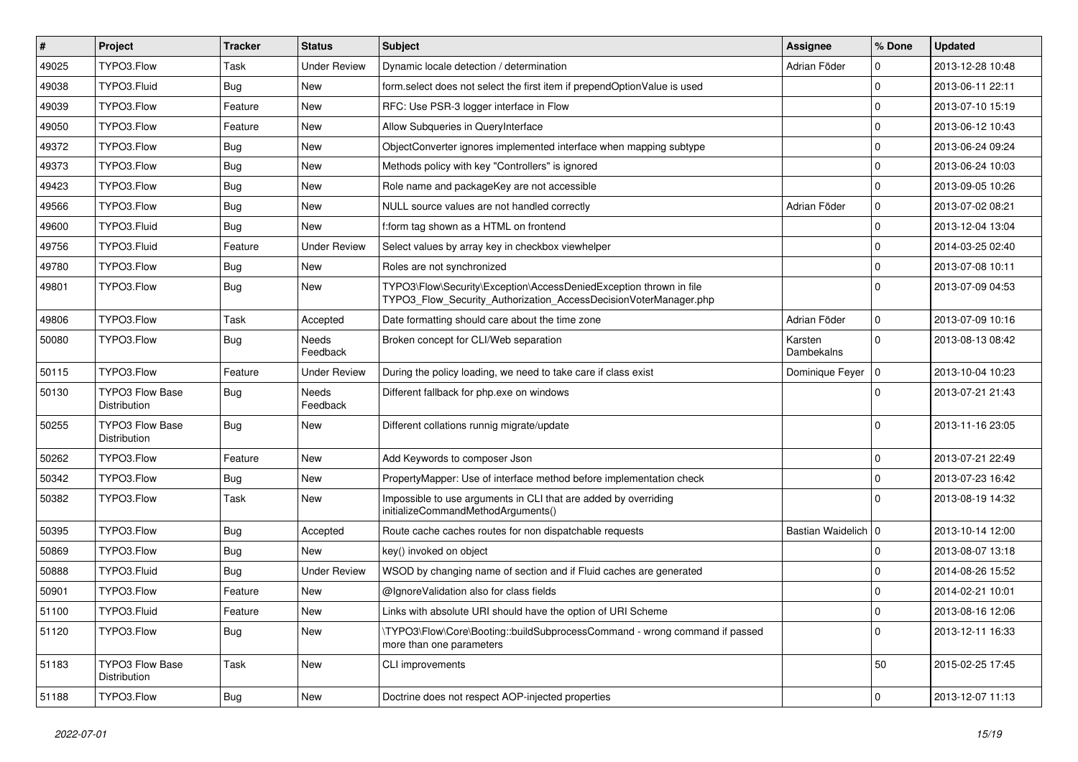| #     | Project                                       | <b>Tracker</b> | <b>Status</b>       | <b>Subject</b>                                                                                                                         | Assignee              | % Done       | <b>Updated</b>   |
|-------|-----------------------------------------------|----------------|---------------------|----------------------------------------------------------------------------------------------------------------------------------------|-----------------------|--------------|------------------|
| 49025 | TYPO3.Flow                                    | Task           | Under Review        | Dynamic locale detection / determination                                                                                               | Adrian Föder          | 0            | 2013-12-28 10:48 |
| 49038 | TYPO3.Fluid                                   | Bug            | New                 | form.select does not select the first item if prependOptionValue is used                                                               |                       | $\Omega$     | 2013-06-11 22:11 |
| 49039 | TYPO3.Flow                                    | Feature        | New                 | RFC: Use PSR-3 logger interface in Flow                                                                                                |                       | $\mathbf 0$  | 2013-07-10 15:19 |
| 49050 | TYPO3.Flow                                    | Feature        | New                 | Allow Subqueries in QueryInterface                                                                                                     |                       | $\mathbf 0$  | 2013-06-12 10:43 |
| 49372 | TYPO3.Flow                                    | <b>Bug</b>     | New                 | ObjectConverter ignores implemented interface when mapping subtype                                                                     |                       | 0            | 2013-06-24 09:24 |
| 49373 | TYPO3.Flow                                    | <b>Bug</b>     | New                 | Methods policy with key "Controllers" is ignored                                                                                       |                       | $\mathbf 0$  | 2013-06-24 10:03 |
| 49423 | TYPO3.Flow                                    | <b>Bug</b>     | New                 | Role name and packageKey are not accessible                                                                                            |                       | $\Omega$     | 2013-09-05 10:26 |
| 49566 | TYPO3.Flow                                    | <b>Bug</b>     | New                 | NULL source values are not handled correctly                                                                                           | Adrian Föder          | $\mathbf 0$  | 2013-07-02 08:21 |
| 49600 | TYPO3.Fluid                                   | <b>Bug</b>     | New                 | f:form tag shown as a HTML on frontend                                                                                                 |                       | $\Omega$     | 2013-12-04 13:04 |
| 49756 | TYPO3.Fluid                                   | Feature        | <b>Under Review</b> | Select values by array key in checkbox viewhelper                                                                                      |                       | $\Omega$     | 2014-03-25 02:40 |
| 49780 | TYPO3.Flow                                    | <b>Bug</b>     | New                 | Roles are not synchronized                                                                                                             |                       | $\mathbf 0$  | 2013-07-08 10:11 |
| 49801 | TYPO3.Flow                                    | <b>Bug</b>     | New                 | TYPO3\Flow\Security\Exception\AccessDeniedException thrown in file<br>TYPO3_Flow_Security_Authorization_AccessDecisionVoterManager.php |                       | $\Omega$     | 2013-07-09 04:53 |
| 49806 | TYPO3.Flow                                    | Task           | Accepted            | Date formatting should care about the time zone                                                                                        | Adrian Föder          | $\mathbf 0$  | 2013-07-09 10:16 |
| 50080 | TYPO3.Flow                                    | <b>Bug</b>     | Needs<br>Feedback   | Broken concept for CLI/Web separation                                                                                                  | Karsten<br>Dambekalns | $\Omega$     | 2013-08-13 08:42 |
| 50115 | TYPO3.Flow                                    | Feature        | <b>Under Review</b> | During the policy loading, we need to take care if class exist                                                                         | Dominique Feyer       | $\Omega$     | 2013-10-04 10:23 |
| 50130 | <b>TYPO3 Flow Base</b><br>Distribution        | <b>Bug</b>     | Needs<br>Feedback   | Different fallback for php.exe on windows                                                                                              |                       | $\Omega$     | 2013-07-21 21:43 |
| 50255 | <b>TYPO3 Flow Base</b><br><b>Distribution</b> | <b>Bug</b>     | New                 | Different collations runnig migrate/update                                                                                             |                       | $\Omega$     | 2013-11-16 23:05 |
| 50262 | TYPO3.Flow                                    | Feature        | New                 | Add Keywords to composer Json                                                                                                          |                       | $\mathbf 0$  | 2013-07-21 22:49 |
| 50342 | TYPO3.Flow                                    | <b>Bug</b>     | New                 | PropertyMapper: Use of interface method before implementation check                                                                    |                       | $\Omega$     | 2013-07-23 16:42 |
| 50382 | TYPO3.Flow                                    | Task           | New                 | Impossible to use arguments in CLI that are added by overriding<br>initializeCommandMethodArguments()                                  |                       | $\Omega$     | 2013-08-19 14:32 |
| 50395 | TYPO3.Flow                                    | Bug            | Accepted            | Route cache caches routes for non dispatchable requests                                                                                | Bastian Waidelich   0 |              | 2013-10-14 12:00 |
| 50869 | TYPO3.Flow                                    | <b>Bug</b>     | New                 | key() invoked on object                                                                                                                |                       | $\Omega$     | 2013-08-07 13:18 |
| 50888 | TYPO3.Fluid                                   | <b>Bug</b>     | <b>Under Review</b> | WSOD by changing name of section and if Fluid caches are generated                                                                     |                       | $\Omega$     | 2014-08-26 15:52 |
| 50901 | TYPO3.Flow                                    | Feature        | New                 | @IgnoreValidation also for class fields                                                                                                |                       | 0            | 2014-02-21 10:01 |
| 51100 | TYPO3.Fluid                                   | Feature        | New                 | Links with absolute URI should have the option of URI Scheme                                                                           |                       | $\mathbf{0}$ | 2013-08-16 12:06 |
| 51120 | TYPO3.Flow                                    | Bug            | New                 | TYPO3\Flow\Core\Booting::buildSubprocessCommand - wrong command if passed<br>more than one parameters                                  |                       | $\Omega$     | 2013-12-11 16:33 |
| 51183 | TYPO3 Flow Base<br>Distribution               | Task           | New                 | CLI improvements                                                                                                                       |                       | 50           | 2015-02-25 17:45 |
| 51188 | TYPO3.Flow                                    | <b>Bug</b>     | New                 | Doctrine does not respect AOP-injected properties                                                                                      |                       | $\mathbf 0$  | 2013-12-07 11:13 |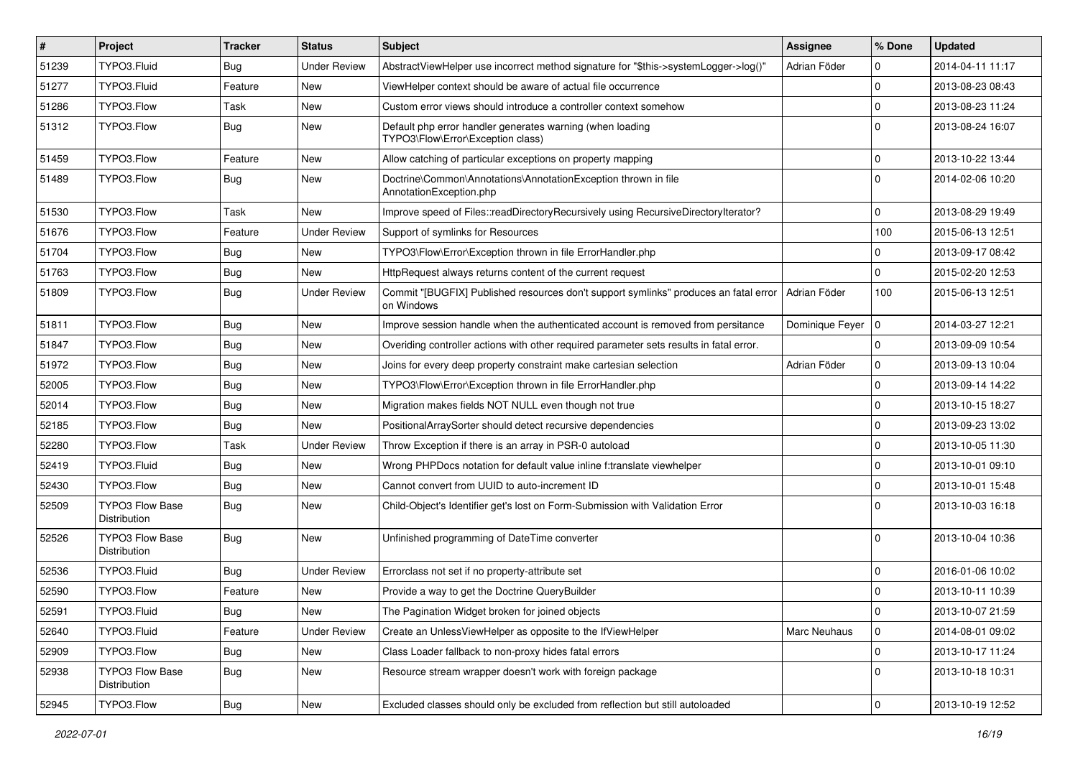| $\vert$ # | Project                                | <b>Tracker</b> | <b>Status</b>       | <b>Subject</b>                                                                                     | Assignee        | % Done         | <b>Updated</b>   |
|-----------|----------------------------------------|----------------|---------------------|----------------------------------------------------------------------------------------------------|-----------------|----------------|------------------|
| 51239     | TYPO3.Fluid                            | <b>Bug</b>     | <b>Under Review</b> | AbstractViewHelper use incorrect method signature for "\$this->systemLogger->log()"                | Adrian Föder    | 0              | 2014-04-11 11:17 |
| 51277     | TYPO3.Fluid                            | Feature        | <b>New</b>          | ViewHelper context should be aware of actual file occurrence                                       |                 | $\mathbf 0$    | 2013-08-23 08:43 |
| 51286     | TYPO3.Flow                             | Task           | New                 | Custom error views should introduce a controller context somehow                                   |                 | $\mathbf 0$    | 2013-08-23 11:24 |
| 51312     | TYPO3.Flow                             | Bug            | New                 | Default php error handler generates warning (when loading<br>TYPO3\Flow\Error\Exception class)     |                 | $\Omega$       | 2013-08-24 16:07 |
| 51459     | TYPO3.Flow                             | Feature        | New                 | Allow catching of particular exceptions on property mapping                                        |                 | 0              | 2013-10-22 13:44 |
| 51489     | TYPO3.Flow                             | <b>Bug</b>     | New                 | Doctrine\Common\Annotations\AnnotationException thrown in file<br>AnnotationException.php          |                 | $\Omega$       | 2014-02-06 10:20 |
| 51530     | TYPO3.Flow                             | Task           | New                 | Improve speed of Files::readDirectoryRecursively using RecursiveDirectoryIterator?                 |                 | 0              | 2013-08-29 19:49 |
| 51676     | TYPO3.Flow                             | Feature        | <b>Under Review</b> | Support of symlinks for Resources                                                                  |                 | 100            | 2015-06-13 12:51 |
| 51704     | TYPO3.Flow                             | <b>Bug</b>     | New                 | TYPO3\Flow\Error\Exception thrown in file ErrorHandler.php                                         |                 | 0              | 2013-09-17 08:42 |
| 51763     | TYPO3.Flow                             | Bug            | New                 | HttpRequest always returns content of the current request                                          |                 | $\Omega$       | 2015-02-20 12:53 |
| 51809     | TYPO3.Flow                             | <b>Bug</b>     | <b>Under Review</b> | Commit "[BUGFIX] Published resources don't support symlinks" produces an fatal error<br>on Windows | Adrian Föder    | 100            | 2015-06-13 12:51 |
| 51811     | TYPO3.Flow                             | Bug            | New                 | Improve session handle when the authenticated account is removed from persitance                   | Dominique Feyer | $\overline{0}$ | 2014-03-27 12:21 |
| 51847     | TYPO3.Flow                             | Bug            | New                 | Overiding controller actions with other required parameter sets results in fatal error.            |                 | $\mathbf 0$    | 2013-09-09 10:54 |
| 51972     | TYPO3.Flow                             | Bug            | New                 | Joins for every deep property constraint make cartesian selection                                  | Adrian Föder    | $\Omega$       | 2013-09-13 10:04 |
| 52005     | TYPO3.Flow                             | <b>Bug</b>     | New                 | TYPO3\Flow\Error\Exception thrown in file ErrorHandler.php                                         |                 | $\mathbf 0$    | 2013-09-14 14:22 |
| 52014     | TYPO3.Flow                             | <b>Bug</b>     | New                 | Migration makes fields NOT NULL even though not true                                               |                 | $\mathbf 0$    | 2013-10-15 18:27 |
| 52185     | TYPO3.Flow                             | Bug            | New                 | PositionalArraySorter should detect recursive dependencies                                         |                 | $\mathbf 0$    | 2013-09-23 13:02 |
| 52280     | TYPO3.Flow                             | Task           | <b>Under Review</b> | Throw Exception if there is an array in PSR-0 autoload                                             |                 | 0              | 2013-10-05 11:30 |
| 52419     | TYPO3.Fluid                            | <b>Bug</b>     | New                 | Wrong PHPDocs notation for default value inline f:translate viewhelper                             |                 | $\Omega$       | 2013-10-01 09:10 |
| 52430     | TYPO3.Flow                             | <b>Bug</b>     | New                 | Cannot convert from UUID to auto-increment ID                                                      |                 | 0              | 2013-10-01 15:48 |
| 52509     | <b>TYPO3 Flow Base</b><br>Distribution | <b>Bug</b>     | New                 | Child-Object's Identifier get's lost on Form-Submission with Validation Error                      |                 | $\Omega$       | 2013-10-03 16:18 |
| 52526     | <b>TYPO3 Flow Base</b><br>Distribution | <b>Bug</b>     | New                 | Unfinished programming of DateTime converter                                                       |                 | $\Omega$       | 2013-10-04 10:36 |
| 52536     | TYPO3.Fluid                            | <b>Bug</b>     | <b>Under Review</b> | Errorclass not set if no property-attribute set                                                    |                 | 0              | 2016-01-06 10:02 |
| 52590     | TYPO3.Flow                             | Feature        | New                 | Provide a way to get the Doctrine QueryBuilder                                                     |                 | $\mathbf 0$    | 2013-10-11 10:39 |
| 52591     | TYPO3.Fluid                            | Bug            | New                 | The Pagination Widget broken for joined objects                                                    |                 | $\mathbf{0}$   | 2013-10-07 21:59 |
| 52640     | TYPO3.Fluid                            | Feature        | <b>Under Review</b> | Create an UnlessViewHelper as opposite to the IfViewHelper                                         | Marc Neuhaus    | $\mathbf 0$    | 2014-08-01 09:02 |
| 52909     | TYPO3.Flow                             | <b>Bug</b>     | New                 | Class Loader fallback to non-proxy hides fatal errors                                              |                 | $\mathbf 0$    | 2013-10-17 11:24 |
| 52938     | <b>TYPO3 Flow Base</b><br>Distribution | <b>Bug</b>     | New                 | Resource stream wrapper doesn't work with foreign package                                          |                 | $\mathbf 0$    | 2013-10-18 10:31 |
| 52945     | TYPO3.Flow                             | <b>Bug</b>     | New                 | Excluded classes should only be excluded from reflection but still autoloaded                      |                 | $\mathbf 0$    | 2013-10-19 12:52 |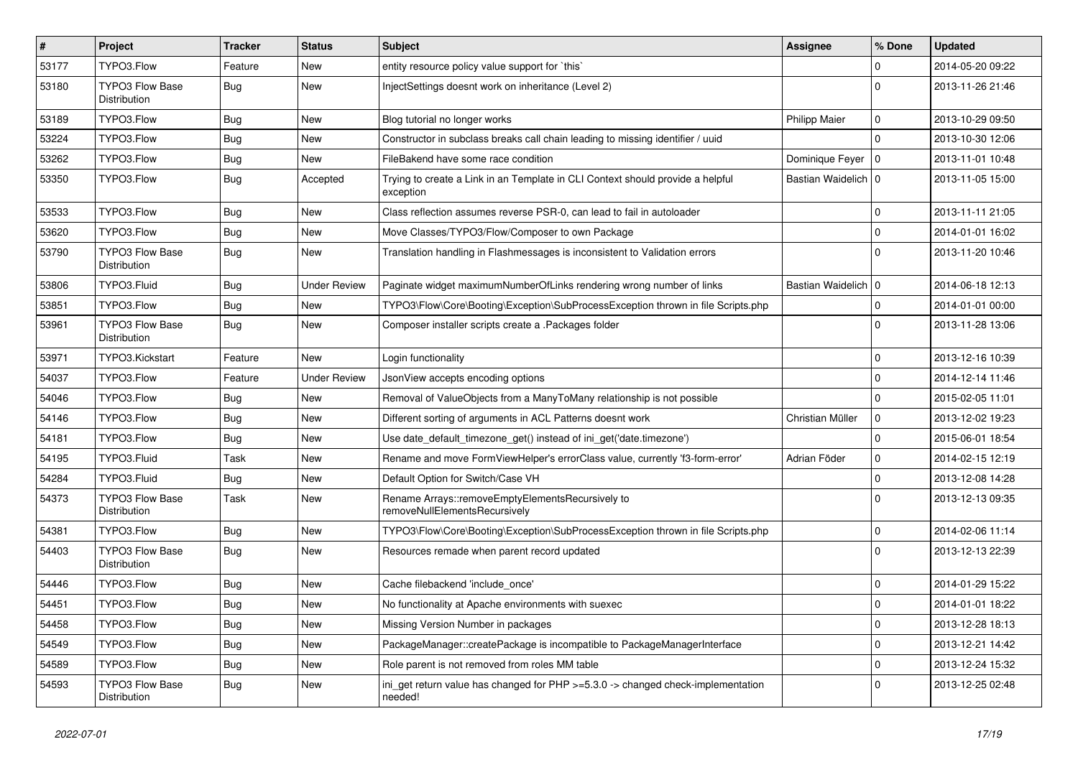| $\vert$ # | Project                                       | <b>Tracker</b> | <b>Status</b>       | Subject                                                                                     | Assignee              | % Done         | <b>Updated</b>   |
|-----------|-----------------------------------------------|----------------|---------------------|---------------------------------------------------------------------------------------------|-----------------------|----------------|------------------|
| 53177     | TYPO3.Flow                                    | Feature        | New                 | entity resource policy value support for `this`                                             |                       | $\mathbf 0$    | 2014-05-20 09:22 |
| 53180     | <b>TYPO3 Flow Base</b><br><b>Distribution</b> | <b>Bug</b>     | New                 | InjectSettings doesnt work on inheritance (Level 2)                                         |                       | $\Omega$       | 2013-11-26 21:46 |
| 53189     | TYPO3.Flow                                    | Bug            | New                 | Blog tutorial no longer works                                                               | <b>Philipp Maier</b>  | $\mathbf 0$    | 2013-10-29 09:50 |
| 53224     | TYPO3.Flow                                    | Bug            | New                 | Constructor in subclass breaks call chain leading to missing identifier / uuid              |                       | $\Omega$       | 2013-10-30 12:06 |
| 53262     | TYPO3.Flow                                    | Bug            | New                 | FileBakend have some race condition                                                         | Dominique Feyer       | $\overline{0}$ | 2013-11-01 10:48 |
| 53350     | TYPO3.Flow                                    | Bug            | Accepted            | Trying to create a Link in an Template in CLI Context should provide a helpful<br>exception | Bastian Waidelich   0 |                | 2013-11-05 15:00 |
| 53533     | TYPO3.Flow                                    | Bug            | New                 | Class reflection assumes reverse PSR-0, can lead to fail in autoloader                      |                       | $\mathbf 0$    | 2013-11-11 21:05 |
| 53620     | TYPO3.Flow                                    | <b>Bug</b>     | New                 | Move Classes/TYPO3/Flow/Composer to own Package                                             |                       | $\Omega$       | 2014-01-01 16:02 |
| 53790     | <b>TYPO3 Flow Base</b><br>Distribution        | <b>Bug</b>     | New                 | Translation handling in Flashmessages is inconsistent to Validation errors                  |                       | $\Omega$       | 2013-11-20 10:46 |
| 53806     | TYPO3.Fluid                                   | Bug            | <b>Under Review</b> | Paginate widget maximumNumberOfLinks rendering wrong number of links                        | Bastian Waidelich   0 |                | 2014-06-18 12:13 |
| 53851     | TYPO3.Flow                                    | Bug            | New                 | TYPO3\Flow\Core\Booting\Exception\SubProcessException thrown in file Scripts.php            |                       | $\mathbf 0$    | 2014-01-01 00:00 |
| 53961     | TYPO3 Flow Base<br>Distribution               | Bug            | New                 | Composer installer scripts create a .Packages folder                                        |                       | $\Omega$       | 2013-11-28 13:06 |
| 53971     | TYPO3.Kickstart                               | Feature        | New                 | Login functionality                                                                         |                       | $\mathbf 0$    | 2013-12-16 10:39 |
| 54037     | TYPO3.Flow                                    | Feature        | <b>Under Review</b> | JsonView accepts encoding options                                                           |                       | $\mathbf 0$    | 2014-12-14 11:46 |
| 54046     | TYPO3.Flow                                    | Bug            | New                 | Removal of ValueObjects from a ManyToMany relationship is not possible                      |                       | $\mathbf 0$    | 2015-02-05 11:01 |
| 54146     | TYPO3.Flow                                    | Bug            | New                 | Different sorting of arguments in ACL Patterns doesnt work                                  | Christian Müller      | $\mathbf 0$    | 2013-12-02 19:23 |
| 54181     | TYPO3.Flow                                    | Bug            | New                 | Use date_default_timezone_get() instead of ini_get('date.timezone')                         |                       | $\mathbf 0$    | 2015-06-01 18:54 |
| 54195     | TYPO3.Fluid                                   | Task           | New                 | Rename and move FormViewHelper's errorClass value, currently 'f3-form-error'                | Adrian Föder          | $\mathbf 0$    | 2014-02-15 12:19 |
| 54284     | TYPO3.Fluid                                   | Bug            | New                 | Default Option for Switch/Case VH                                                           |                       | $\Omega$       | 2013-12-08 14:28 |
| 54373     | <b>TYPO3 Flow Base</b><br>Distribution        | Task           | New                 | Rename Arrays::removeEmptyElementsRecursively to<br>removeNullElementsRecursively           |                       | $\Omega$       | 2013-12-13 09:35 |
| 54381     | TYPO3.Flow                                    | <b>Bug</b>     | New                 | TYPO3\Flow\Core\Booting\Exception\SubProcessException thrown in file Scripts.php            |                       | $\mathbf 0$    | 2014-02-06 11:14 |
| 54403     | <b>TYPO3 Flow Base</b><br><b>Distribution</b> | Bug            | New                 | Resources remade when parent record updated                                                 |                       | $\Omega$       | 2013-12-13 22:39 |
| 54446     | TYPO3.Flow                                    | <b>Bug</b>     | <b>New</b>          | Cache filebackend 'include_once'                                                            |                       | $\mathbf 0$    | 2014-01-29 15:22 |
| 54451     | TYPO3.Flow                                    | Bug            | New                 | No functionality at Apache environments with suexec                                         |                       | $\overline{0}$ | 2014-01-01 18:22 |
| 54458     | TYPO3.Flow                                    | <b>Bug</b>     | New                 | Missing Version Number in packages                                                          |                       | $\mathbf 0$    | 2013-12-28 18:13 |
| 54549     | TYPO3.Flow                                    | <b>Bug</b>     | New                 | PackageManager::createPackage is incompatible to PackageManagerInterface                    |                       | $\mathbf 0$    | 2013-12-21 14:42 |
| 54589     | TYPO3.Flow                                    | <b>Bug</b>     | New                 | Role parent is not removed from roles MM table                                              |                       | $\pmb{0}$      | 2013-12-24 15:32 |
| 54593     | TYPO3 Flow Base<br>Distribution               | <b>Bug</b>     | New                 | ini_get return value has changed for PHP >=5.3.0 -> changed check-implementation<br>needed! |                       | $\mathbf 0$    | 2013-12-25 02:48 |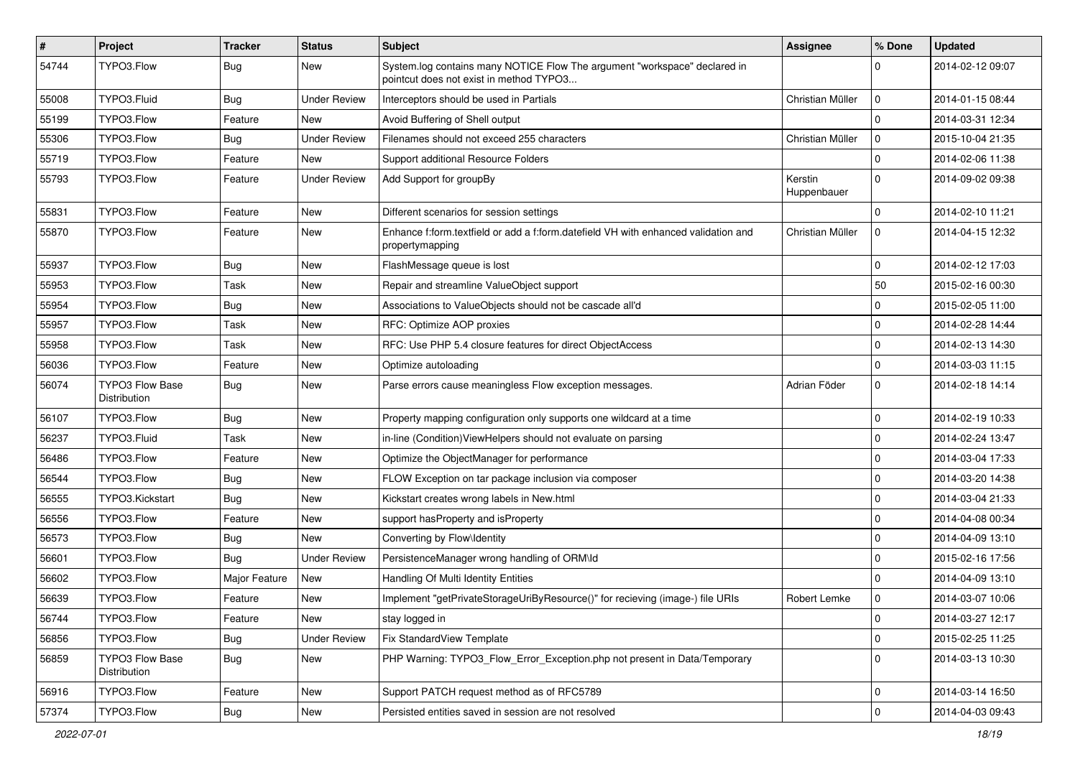| $\sharp$ | Project                                | <b>Tracker</b> | <b>Status</b>       | <b>Subject</b>                                                                                                       | Assignee               | % Done      | <b>Updated</b>   |
|----------|----------------------------------------|----------------|---------------------|----------------------------------------------------------------------------------------------------------------------|------------------------|-------------|------------------|
| 54744    | TYPO3.Flow                             | <b>Bug</b>     | New                 | System.log contains many NOTICE Flow The argument "workspace" declared in<br>pointcut does not exist in method TYPO3 |                        | 0           | 2014-02-12 09:07 |
| 55008    | TYPO3.Fluid                            | Bug            | <b>Under Review</b> | Interceptors should be used in Partials                                                                              | Christian Müller       | 0           | 2014-01-15 08:44 |
| 55199    | TYPO3.Flow                             | Feature        | New                 | Avoid Buffering of Shell output                                                                                      |                        | $\Omega$    | 2014-03-31 12:34 |
| 55306    | TYPO3.Flow                             | Bug            | <b>Under Review</b> | Filenames should not exceed 255 characters                                                                           | Christian Müller       | $\mathbf 0$ | 2015-10-04 21:35 |
| 55719    | TYPO3.Flow                             | Feature        | New                 | Support additional Resource Folders                                                                                  |                        | $\mathbf 0$ | 2014-02-06 11:38 |
| 55793    | TYPO3.Flow                             | Feature        | <b>Under Review</b> | Add Support for groupBy                                                                                              | Kerstin<br>Huppenbauer | $\Omega$    | 2014-09-02 09:38 |
| 55831    | TYPO3.Flow                             | Feature        | New                 | Different scenarios for session settings                                                                             |                        | $\mathbf 0$ | 2014-02-10 11:21 |
| 55870    | TYPO3.Flow                             | Feature        | New                 | Enhance f:form.textfield or add a f:form.datefield VH with enhanced validation and<br>propertymapping                | Christian Müller       | $\mathbf 0$ | 2014-04-15 12:32 |
| 55937    | TYPO3.Flow                             | <b>Bug</b>     | New                 | FlashMessage queue is lost                                                                                           |                        | 0           | 2014-02-12 17:03 |
| 55953    | TYPO3.Flow                             | Task           | New                 | Repair and streamline ValueObject support                                                                            |                        | 50          | 2015-02-16 00:30 |
| 55954    | TYPO3.Flow                             | <b>Bug</b>     | New                 | Associations to ValueObjects should not be cascade all'd                                                             |                        | 0           | 2015-02-05 11:00 |
| 55957    | TYPO3.Flow                             | Task           | New                 | RFC: Optimize AOP proxies                                                                                            |                        | $\mathbf 0$ | 2014-02-28 14:44 |
| 55958    | TYPO3.Flow                             | Task           | New                 | RFC: Use PHP 5.4 closure features for direct ObjectAccess                                                            |                        | $\mathbf 0$ | 2014-02-13 14:30 |
| 56036    | TYPO3.Flow                             | Feature        | New                 | Optimize autoloading                                                                                                 |                        | $\mathbf 0$ | 2014-03-03 11:15 |
| 56074    | TYPO3 Flow Base<br>Distribution        | <b>Bug</b>     | New                 | Parse errors cause meaningless Flow exception messages.                                                              | Adrian Föder           | $\mathbf 0$ | 2014-02-18 14:14 |
| 56107    | TYPO3.Flow                             | <b>Bug</b>     | New                 | Property mapping configuration only supports one wildcard at a time                                                  |                        | 0           | 2014-02-19 10:33 |
| 56237    | TYPO3.Fluid                            | Task           | New                 | in-line (Condition) ViewHelpers should not evaluate on parsing                                                       |                        | $\mathbf 0$ | 2014-02-24 13:47 |
| 56486    | TYPO3.Flow                             | Feature        | New                 | Optimize the ObjectManager for performance                                                                           |                        | $\mathbf 0$ | 2014-03-04 17:33 |
| 56544    | TYPO3.Flow                             | Bug            | New                 | FLOW Exception on tar package inclusion via composer                                                                 |                        | $\mathbf 0$ | 2014-03-20 14:38 |
| 56555    | TYPO3.Kickstart                        | Bug            | New                 | Kickstart creates wrong labels in New.html                                                                           |                        | 0           | 2014-03-04 21:33 |
| 56556    | TYPO3.Flow                             | Feature        | New                 | support hasProperty and isProperty                                                                                   |                        | $\mathbf 0$ | 2014-04-08 00:34 |
| 56573    | TYPO3.Flow                             | Bug            | New                 | Converting by Flow\Identity                                                                                          |                        | $\mathbf 0$ | 2014-04-09 13:10 |
| 56601    | TYPO3.Flow                             | Bug            | Under Review        | PersistenceManager wrong handling of ORM\ld                                                                          |                        | 0           | 2015-02-16 17:56 |
| 56602    | TYPO3.Flow                             | Major Feature  | New                 | Handling Of Multi Identity Entities                                                                                  |                        | $\Omega$    | 2014-04-09 13:10 |
| 56639    | TYPO3.Flow                             | Feature        | New                 | Implement "getPrivateStorageUriByResource()" for recieving (image-) file URIs                                        | Robert Lemke           | 0           | 2014-03-07 10:06 |
| 56744    | TYPO3.Flow                             | Feature        | New                 | stay logged in                                                                                                       |                        | $\mathbf 0$ | 2014-03-27 12:17 |
| 56856    | TYPO3.Flow                             | <b>Bug</b>     | <b>Under Review</b> | Fix StandardView Template                                                                                            |                        | $\mathbf 0$ | 2015-02-25 11:25 |
| 56859    | <b>TYPO3 Flow Base</b><br>Distribution | Bug            | New                 | PHP Warning: TYPO3_Flow_Error_Exception.php not present in Data/Temporary                                            |                        | $\mathbf 0$ | 2014-03-13 10:30 |
| 56916    | TYPO3.Flow                             | Feature        | New                 | Support PATCH request method as of RFC5789                                                                           |                        | $\mathbf 0$ | 2014-03-14 16:50 |
| 57374    | TYPO3.Flow                             | Bug            | New                 | Persisted entities saved in session are not resolved                                                                 |                        | $\mathbf 0$ | 2014-04-03 09:43 |